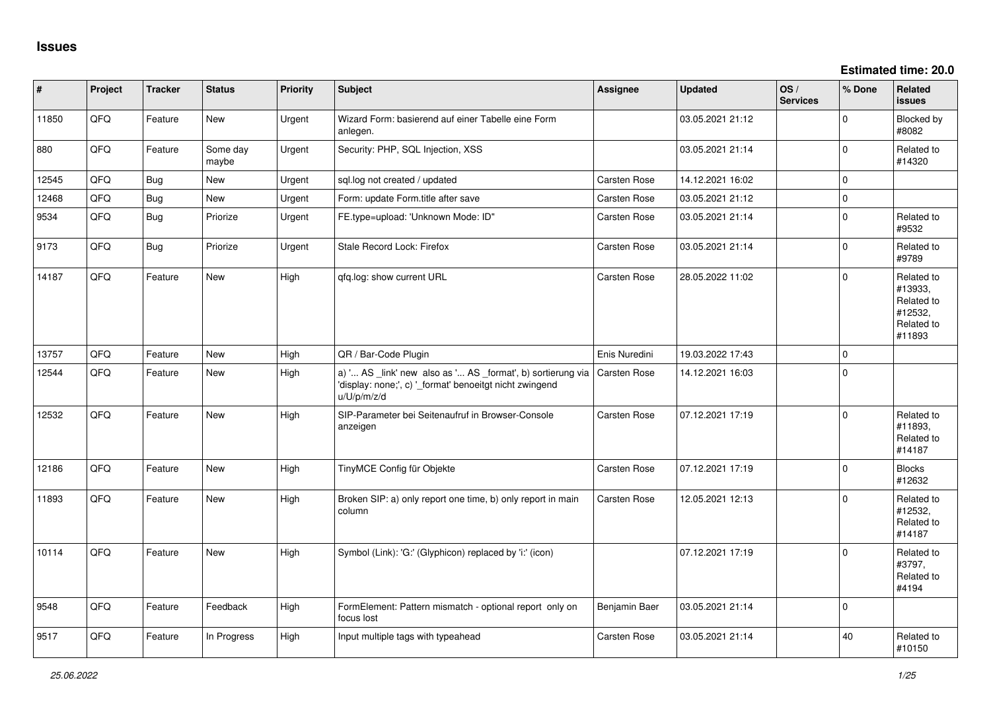**Estimated time: 20.0**

| #     | Project | <b>Tracker</b> | <b>Status</b>     | <b>Priority</b> | <b>Subject</b>                                                                                                                        | <b>Assignee</b>     | <b>Updated</b>   | OS/<br><b>Services</b> | % Done      | Related<br><b>issues</b>                                               |
|-------|---------|----------------|-------------------|-----------------|---------------------------------------------------------------------------------------------------------------------------------------|---------------------|------------------|------------------------|-------------|------------------------------------------------------------------------|
| 11850 | QFQ     | Feature        | New               | Urgent          | Wizard Form: basierend auf einer Tabelle eine Form<br>anlegen.                                                                        |                     | 03.05.2021 21:12 |                        | $\mathbf 0$ | Blocked by<br>#8082                                                    |
| 880   | QFQ     | Feature        | Some day<br>maybe | Urgent          | Security: PHP, SQL Injection, XSS                                                                                                     |                     | 03.05.2021 21:14 |                        | $\mathbf 0$ | Related to<br>#14320                                                   |
| 12545 | QFQ     | Bug            | <b>New</b>        | Urgent          | sql.log not created / updated                                                                                                         | <b>Carsten Rose</b> | 14.12.2021 16:02 |                        | $\mathbf 0$ |                                                                        |
| 12468 | QFQ     | Bug            | New               | Urgent          | Form: update Form.title after save                                                                                                    | Carsten Rose        | 03.05.2021 21:12 |                        | $\mathsf 0$ |                                                                        |
| 9534  | QFQ     | Bug            | Priorize          | Urgent          | FE.type=upload: 'Unknown Mode: ID"                                                                                                    | Carsten Rose        | 03.05.2021 21:14 |                        | $\mathbf 0$ | Related to<br>#9532                                                    |
| 9173  | QFQ     | Bug            | Priorize          | Urgent          | Stale Record Lock: Firefox                                                                                                            | <b>Carsten Rose</b> | 03.05.2021 21:14 |                        | $\mathbf 0$ | Related to<br>#9789                                                    |
| 14187 | QFQ     | Feature        | <b>New</b>        | High            | qfq.log: show current URL                                                                                                             | Carsten Rose        | 28.05.2022 11:02 |                        | $\mathbf 0$ | Related to<br>#13933,<br>Related to<br>#12532,<br>Related to<br>#11893 |
| 13757 | QFQ     | Feature        | <b>New</b>        | High            | QR / Bar-Code Plugin                                                                                                                  | Enis Nuredini       | 19.03.2022 17:43 |                        | $\mathbf 0$ |                                                                        |
| 12544 | QFQ     | Feature        | <b>New</b>        | High            | a) ' AS _link' new also as ' AS _format', b) sortierung via<br>'display: none;', c) '_format' benoeitgt nicht zwingend<br>u/U/p/m/z/d | <b>Carsten Rose</b> | 14.12.2021 16:03 |                        | $\mathbf 0$ |                                                                        |
| 12532 | QFQ     | Feature        | New               | High            | SIP-Parameter bei Seitenaufruf in Browser-Console<br>anzeigen                                                                         | Carsten Rose        | 07.12.2021 17:19 |                        | $\mathbf 0$ | Related to<br>#11893,<br>Related to<br>#14187                          |
| 12186 | QFQ     | Feature        | <b>New</b>        | High            | TinyMCE Config für Objekte                                                                                                            | <b>Carsten Rose</b> | 07.12.2021 17:19 |                        | $\mathbf 0$ | <b>Blocks</b><br>#12632                                                |
| 11893 | QFQ     | Feature        | New               | High            | Broken SIP: a) only report one time, b) only report in main<br>column                                                                 | Carsten Rose        | 12.05.2021 12:13 |                        | $\Omega$    | Related to<br>#12532,<br>Related to<br>#14187                          |
| 10114 | QFQ     | Feature        | New               | High            | Symbol (Link): 'G:' (Glyphicon) replaced by 'i:' (icon)                                                                               |                     | 07.12.2021 17:19 |                        | $\Omega$    | Related to<br>#3797,<br>Related to<br>#4194                            |
| 9548  | QFQ     | Feature        | Feedback          | High            | FormElement: Pattern mismatch - optional report only on<br>focus lost                                                                 | Benjamin Baer       | 03.05.2021 21:14 |                        | $\mathbf 0$ |                                                                        |
| 9517  | QFQ     | Feature        | In Progress       | High            | Input multiple tags with typeahead                                                                                                    | Carsten Rose        | 03.05.2021 21:14 |                        | 40          | Related to<br>#10150                                                   |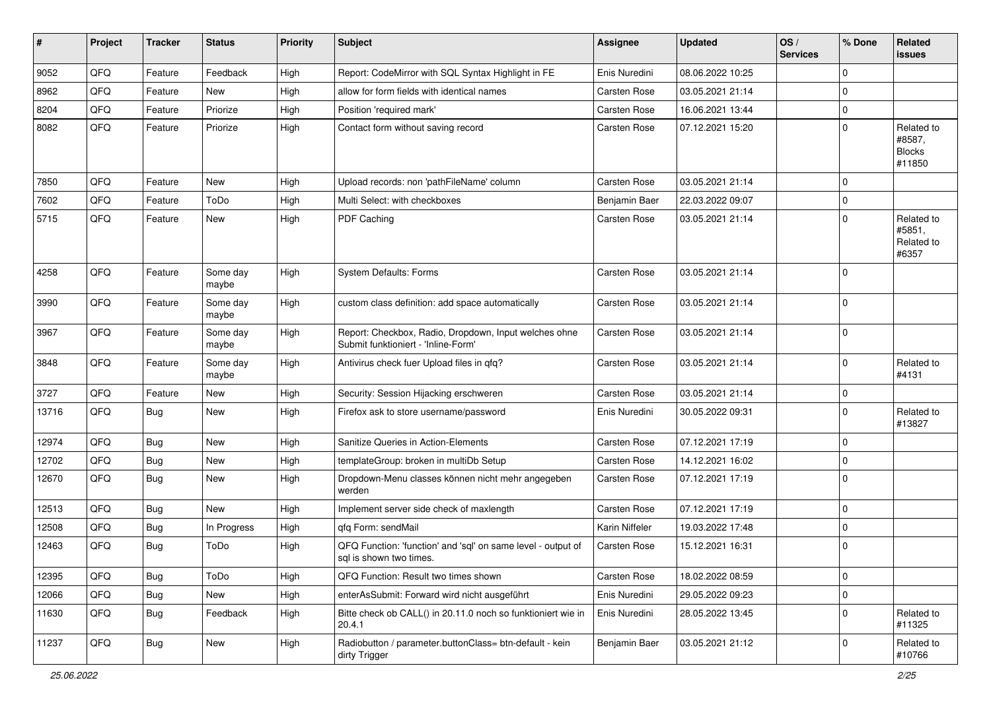| ∦     | Project | <b>Tracker</b> | <b>Status</b>     | <b>Priority</b> | <b>Subject</b>                                                                               | <b>Assignee</b> | <b>Updated</b>   | OS/<br><b>Services</b> | % Done      | Related<br>issues                               |
|-------|---------|----------------|-------------------|-----------------|----------------------------------------------------------------------------------------------|-----------------|------------------|------------------------|-------------|-------------------------------------------------|
| 9052  | QFQ     | Feature        | Feedback          | High            | Report: CodeMirror with SQL Syntax Highlight in FE                                           | Enis Nuredini   | 08.06.2022 10:25 |                        | $\mathbf 0$ |                                                 |
| 8962  | QFQ     | Feature        | New               | High            | allow for form fields with identical names                                                   | Carsten Rose    | 03.05.2021 21:14 |                        | $\mathbf 0$ |                                                 |
| 8204  | QFQ     | Feature        | Priorize          | High            | Position 'required mark'                                                                     | Carsten Rose    | 16.06.2021 13:44 |                        | $\mathbf 0$ |                                                 |
| 8082  | QFQ     | Feature        | Priorize          | High            | Contact form without saving record                                                           | Carsten Rose    | 07.12.2021 15:20 |                        | $\Omega$    | Related to<br>#8587,<br><b>Blocks</b><br>#11850 |
| 7850  | QFQ     | Feature        | New               | High            | Upload records: non 'pathFileName' column                                                    | Carsten Rose    | 03.05.2021 21:14 |                        | $\Omega$    |                                                 |
| 7602  | QFQ     | Feature        | ToDo              | High            | Multi Select: with checkboxes                                                                | Benjamin Baer   | 22.03.2022 09:07 |                        | $\mathbf 0$ |                                                 |
| 5715  | QFQ     | Feature        | New               | High            | PDF Caching                                                                                  | Carsten Rose    | 03.05.2021 21:14 |                        | $\mathbf 0$ | Related to<br>#5851,<br>Related to<br>#6357     |
| 4258  | QFQ     | Feature        | Some day<br>maybe | High            | System Defaults: Forms                                                                       | Carsten Rose    | 03.05.2021 21:14 |                        | $\Omega$    |                                                 |
| 3990  | QFQ     | Feature        | Some day<br>maybe | High            | custom class definition: add space automatically                                             | Carsten Rose    | 03.05.2021 21:14 |                        | $\Omega$    |                                                 |
| 3967  | QFQ     | Feature        | Some day<br>maybe | High            | Report: Checkbox, Radio, Dropdown, Input welches ohne<br>Submit funktioniert - 'Inline-Form' | Carsten Rose    | 03.05.2021 21:14 |                        | $\Omega$    |                                                 |
| 3848  | QFQ     | Feature        | Some day<br>maybe | High            | Antivirus check fuer Upload files in qfq?                                                    | Carsten Rose    | 03.05.2021 21:14 |                        | $\mathbf 0$ | Related to<br>#4131                             |
| 3727  | QFQ     | Feature        | New               | High            | Security: Session Hijacking erschweren                                                       | Carsten Rose    | 03.05.2021 21:14 |                        | $\mathbf 0$ |                                                 |
| 13716 | QFQ     | Bug            | New               | High            | Firefox ask to store username/password                                                       | Enis Nuredini   | 30.05.2022 09:31 |                        | $\Omega$    | Related to<br>#13827                            |
| 12974 | QFQ     | Bug            | New               | High            | Sanitize Queries in Action-Elements                                                          | Carsten Rose    | 07.12.2021 17:19 |                        | $\mathbf 0$ |                                                 |
| 12702 | QFQ     | Bug            | New               | High            | templateGroup: broken in multiDb Setup                                                       | Carsten Rose    | 14.12.2021 16:02 |                        | $\mathbf 0$ |                                                 |
| 12670 | QFQ     | Bug            | New               | High            | Dropdown-Menu classes können nicht mehr angegeben<br>werden                                  | Carsten Rose    | 07.12.2021 17:19 |                        | $\mathbf 0$ |                                                 |
| 12513 | QFQ     | Bug            | New               | High            | Implement server side check of maxlength                                                     | Carsten Rose    | 07.12.2021 17:19 |                        | $\mathbf 0$ |                                                 |
| 12508 | QFQ     | <b>Bug</b>     | In Progress       | High            | qfq Form: sendMail                                                                           | Karin Niffeler  | 19.03.2022 17:48 |                        | $\mathbf 0$ |                                                 |
| 12463 | QFQ     | Bug            | ToDo              | High            | QFQ Function: 'function' and 'sql' on same level - output of<br>sql is shown two times.      | Carsten Rose    | 15.12.2021 16:31 |                        | $\mathbf 0$ |                                                 |
| 12395 | QFQ     | <b>Bug</b>     | ToDo              | High            | QFQ Function: Result two times shown                                                         | Carsten Rose    | 18.02.2022 08:59 |                        | $\mathbf 0$ |                                                 |
| 12066 | QFQ     | <b>Bug</b>     | New               | High            | enterAsSubmit: Forward wird nicht ausgeführt                                                 | Enis Nuredini   | 29.05.2022 09:23 |                        | $\mathbf 0$ |                                                 |
| 11630 | QFQ     | <b>Bug</b>     | Feedback          | High            | Bitte check ob CALL() in 20.11.0 noch so funktioniert wie in<br>20.4.1                       | Enis Nuredini   | 28.05.2022 13:45 |                        | $\pmb{0}$   | Related to<br>#11325                            |
| 11237 | QFQ     | Bug            | New               | High            | Radiobutton / parameter.buttonClass= btn-default - kein<br>dirty Trigger                     | Benjamin Baer   | 03.05.2021 21:12 |                        | $\mathbf 0$ | Related to<br>#10766                            |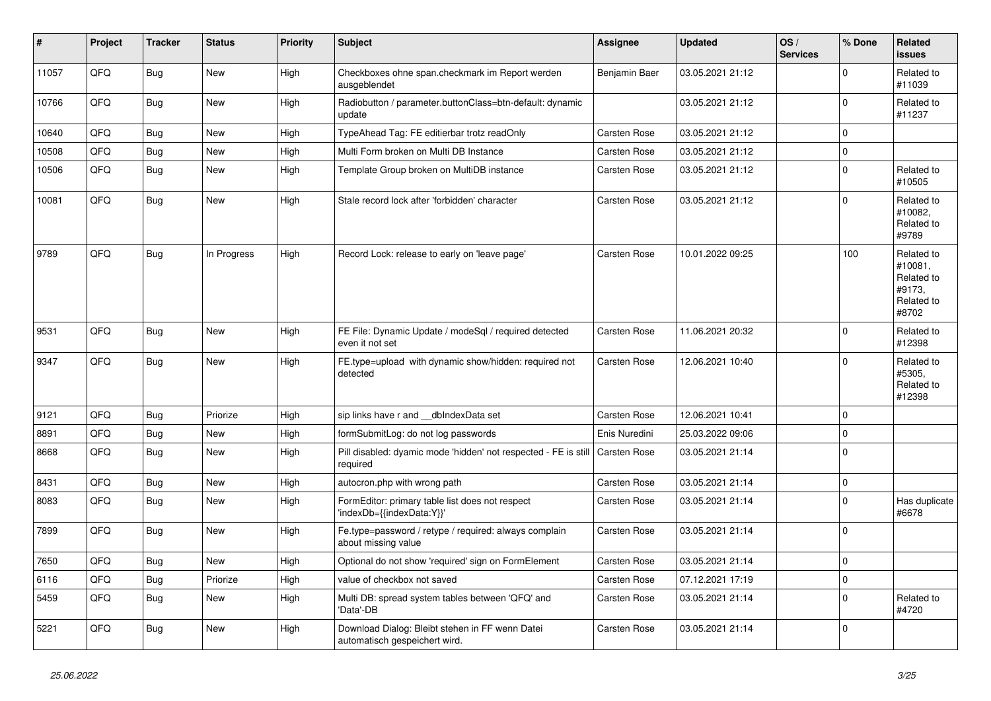| $\vert$ # | Project | <b>Tracker</b> | <b>Status</b> | <b>Priority</b> | <b>Subject</b>                                                                   | <b>Assignee</b>     | <b>Updated</b>   | OS/<br><b>Services</b> | % Done      | Related<br><b>issues</b>                                             |
|-----------|---------|----------------|---------------|-----------------|----------------------------------------------------------------------------------|---------------------|------------------|------------------------|-------------|----------------------------------------------------------------------|
| 11057     | QFQ     | Bug            | <b>New</b>    | High            | Checkboxes ohne span.checkmark im Report werden<br>ausgeblendet                  | Benjamin Baer       | 03.05.2021 21:12 |                        | $\Omega$    | Related to<br>#11039                                                 |
| 10766     | QFQ     | Bug            | <b>New</b>    | High            | Radiobutton / parameter.buttonClass=btn-default: dynamic<br>update               |                     | 03.05.2021 21:12 |                        | $\mathbf 0$ | Related to<br>#11237                                                 |
| 10640     | QFQ     | <b>Bug</b>     | <b>New</b>    | High            | TypeAhead Tag: FE editierbar trotz readOnly                                      | <b>Carsten Rose</b> | 03.05.2021 21:12 |                        | 0           |                                                                      |
| 10508     | QFQ     | Bug            | <b>New</b>    | High            | Multi Form broken on Multi DB Instance                                           | <b>Carsten Rose</b> | 03.05.2021 21:12 |                        | 0           |                                                                      |
| 10506     | QFQ     | Bug            | <b>New</b>    | High            | Template Group broken on MultiDB instance                                        | Carsten Rose        | 03.05.2021 21:12 |                        | $\mathsf 0$ | Related to<br>#10505                                                 |
| 10081     | QFQ     | Bug            | New           | High            | Stale record lock after 'forbidden' character                                    | <b>Carsten Rose</b> | 03.05.2021 21:12 |                        | 0           | Related to<br>#10082,<br>Related to<br>#9789                         |
| 9789      | QFQ     | Bug            | In Progress   | High            | Record Lock: release to early on 'leave page'                                    | <b>Carsten Rose</b> | 10.01.2022 09:25 |                        | 100         | Related to<br>#10081.<br>Related to<br>#9173,<br>Related to<br>#8702 |
| 9531      | QFQ     | Bug            | New           | High            | FE File: Dynamic Update / modeSql / required detected<br>even it not set         | <b>Carsten Rose</b> | 11.06.2021 20:32 |                        | $\mathbf 0$ | Related to<br>#12398                                                 |
| 9347      | QFQ     | <b>Bug</b>     | New           | High            | FE.type=upload with dynamic show/hidden: required not<br>detected                | <b>Carsten Rose</b> | 12.06.2021 10:40 |                        | 0           | Related to<br>#5305,<br>Related to<br>#12398                         |
| 9121      | QFQ     | Bug            | Priorize      | High            | sip links have r and __dbIndexData set                                           | Carsten Rose        | 12.06.2021 10:41 |                        | 0           |                                                                      |
| 8891      | QFQ     | Bug            | <b>New</b>    | High            | formSubmitLog: do not log passwords                                              | Enis Nuredini       | 25.03.2022 09:06 |                        | $\mathbf 0$ |                                                                      |
| 8668      | QFQ     | Bug            | New           | High            | Pill disabled: dyamic mode 'hidden' not respected - FE is still<br>required      | Carsten Rose        | 03.05.2021 21:14 |                        | 0           |                                                                      |
| 8431      | QFQ     | <b>Bug</b>     | New           | High            | autocron.php with wrong path                                                     | Carsten Rose        | 03.05.2021 21:14 |                        | $\pmb{0}$   |                                                                      |
| 8083      | QFQ     | Bug            | New           | High            | FormEditor: primary table list does not respect<br>'indexDb={{indexData:Y}}'     | Carsten Rose        | 03.05.2021 21:14 |                        | $\Omega$    | Has duplicate<br>#6678                                               |
| 7899      | QFQ     | Bug            | New           | High            | Fe.type=password / retype / required: always complain<br>about missing value     | Carsten Rose        | 03.05.2021 21:14 |                        | $\Omega$    |                                                                      |
| 7650      | QFQ     | Bug            | New           | High            | Optional do not show 'required' sign on FormElement                              | Carsten Rose        | 03.05.2021 21:14 |                        | $\mathbf 0$ |                                                                      |
| 6116      | QFQ     | Bug            | Priorize      | High            | value of checkbox not saved                                                      | <b>Carsten Rose</b> | 07.12.2021 17:19 |                        | 0           |                                                                      |
| 5459      | QFQ     | Bug            | <b>New</b>    | High            | Multi DB: spread system tables between 'QFQ' and<br>'Data'-DB                    | Carsten Rose        | 03.05.2021 21:14 |                        | $\Omega$    | Related to<br>#4720                                                  |
| 5221      | QFQ     | Bug            | New           | High            | Download Dialog: Bleibt stehen in FF wenn Datei<br>automatisch gespeichert wird. | Carsten Rose        | 03.05.2021 21:14 |                        | 0           |                                                                      |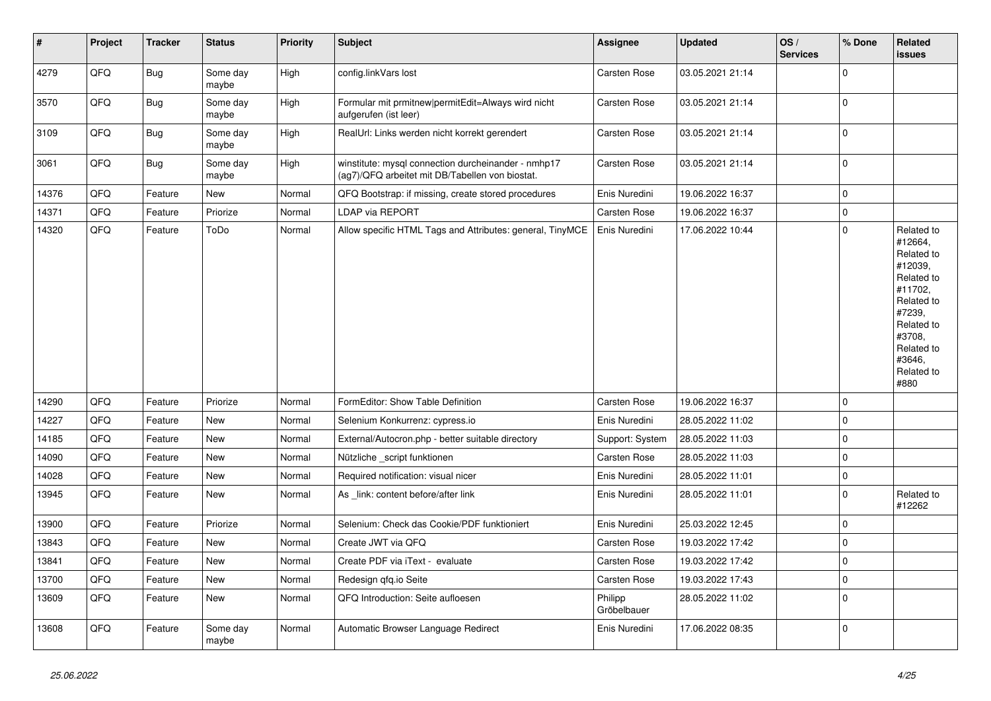| $\vert$ # | Project | <b>Tracker</b> | <b>Status</b>     | <b>Priority</b> | <b>Subject</b>                                                                                         | <b>Assignee</b>        | <b>Updated</b>   | OS/<br><b>Services</b> | % Done      | Related<br>issues                                                                                                                                                     |
|-----------|---------|----------------|-------------------|-----------------|--------------------------------------------------------------------------------------------------------|------------------------|------------------|------------------------|-------------|-----------------------------------------------------------------------------------------------------------------------------------------------------------------------|
| 4279      | QFQ     | Bug            | Some day<br>maybe | High            | config.linkVars lost                                                                                   | Carsten Rose           | 03.05.2021 21:14 |                        | $\Omega$    |                                                                                                                                                                       |
| 3570      | QFQ     | Bug            | Some dav<br>maybe | High            | Formular mit prmitnew permitEdit=Always wird nicht<br>aufgerufen (ist leer)                            | <b>Carsten Rose</b>    | 03.05.2021 21:14 |                        | $\mathbf 0$ |                                                                                                                                                                       |
| 3109      | QFQ     | <b>Bug</b>     | Some day<br>maybe | High            | RealUrl: Links werden nicht korrekt gerendert                                                          | Carsten Rose           | 03.05.2021 21:14 |                        | $\mathbf 0$ |                                                                                                                                                                       |
| 3061      | QFQ     | <b>Bug</b>     | Some day<br>maybe | High            | winstitute: mysql connection durcheinander - nmhp17<br>(ag7)/QFQ arbeitet mit DB/Tabellen von biostat. | <b>Carsten Rose</b>    | 03.05.2021 21:14 |                        | $\mathbf 0$ |                                                                                                                                                                       |
| 14376     | QFQ     | Feature        | <b>New</b>        | Normal          | QFQ Bootstrap: if missing, create stored procedures                                                    | Enis Nuredini          | 19.06.2022 16:37 |                        | $\mathbf 0$ |                                                                                                                                                                       |
| 14371     | QFQ     | Feature        | Priorize          | Normal          | <b>LDAP via REPORT</b>                                                                                 | Carsten Rose           | 19.06.2022 16:37 |                        | $\mathbf 0$ |                                                                                                                                                                       |
| 14320     | QFQ     | Feature        | ToDo              | Normal          | Allow specific HTML Tags and Attributes: general, TinyMCE                                              | Enis Nuredini          | 17.06.2022 10:44 |                        | $\mathbf 0$ | Related to<br>#12664,<br>Related to<br>#12039,<br>Related to<br>#11702,<br>Related to<br>#7239,<br>Related to<br>#3708,<br>Related to<br>#3646,<br>Related to<br>#880 |
| 14290     | QFQ     | Feature        | Priorize          | Normal          | FormEditor: Show Table Definition                                                                      | Carsten Rose           | 19.06.2022 16:37 |                        | $\mathbf 0$ |                                                                                                                                                                       |
| 14227     | QFQ     | Feature        | <b>New</b>        | Normal          | Selenium Konkurrenz: cypress.io                                                                        | Enis Nuredini          | 28.05.2022 11:02 |                        | $\mathbf 0$ |                                                                                                                                                                       |
| 14185     | QFQ     | Feature        | New               | Normal          | External/Autocron.php - better suitable directory                                                      | Support: System        | 28.05.2022 11:03 |                        | $\mathbf 0$ |                                                                                                                                                                       |
| 14090     | QFQ     | Feature        | <b>New</b>        | Normal          | Nützliche _script funktionen                                                                           | Carsten Rose           | 28.05.2022 11:03 |                        | $\mathbf 0$ |                                                                                                                                                                       |
| 14028     | QFQ     | Feature        | <b>New</b>        | Normal          | Required notification: visual nicer                                                                    | Enis Nuredini          | 28.05.2022 11:01 |                        | $\pmb{0}$   |                                                                                                                                                                       |
| 13945     | QFQ     | Feature        | New               | Normal          | As _link: content before/after link                                                                    | Enis Nuredini          | 28.05.2022 11:01 |                        | $\mathbf 0$ | Related to<br>#12262                                                                                                                                                  |
| 13900     | QFQ     | Feature        | Priorize          | Normal          | Selenium: Check das Cookie/PDF funktioniert                                                            | Enis Nuredini          | 25.03.2022 12:45 |                        | $\mathbf 0$ |                                                                                                                                                                       |
| 13843     | QFQ     | Feature        | <b>New</b>        | Normal          | Create JWT via QFQ                                                                                     | <b>Carsten Rose</b>    | 19.03.2022 17:42 |                        | $\mathbf 0$ |                                                                                                                                                                       |
| 13841     | QFQ     | Feature        | <b>New</b>        | Normal          | Create PDF via iText - evaluate                                                                        | Carsten Rose           | 19.03.2022 17:42 |                        | $\mathbf 0$ |                                                                                                                                                                       |
| 13700     | QFQ     | Feature        | <b>New</b>        | Normal          | Redesign qfq.io Seite                                                                                  | Carsten Rose           | 19.03.2022 17:43 |                        | $\mathbf 0$ |                                                                                                                                                                       |
| 13609     | QFQ     | Feature        | New               | Normal          | QFQ Introduction: Seite aufloesen                                                                      | Philipp<br>Gröbelbauer | 28.05.2022 11:02 |                        | $\mathbf 0$ |                                                                                                                                                                       |
| 13608     | QFQ     | Feature        | Some day<br>maybe | Normal          | Automatic Browser Language Redirect                                                                    | Enis Nuredini          | 17.06.2022 08:35 |                        | $\mathbf 0$ |                                                                                                                                                                       |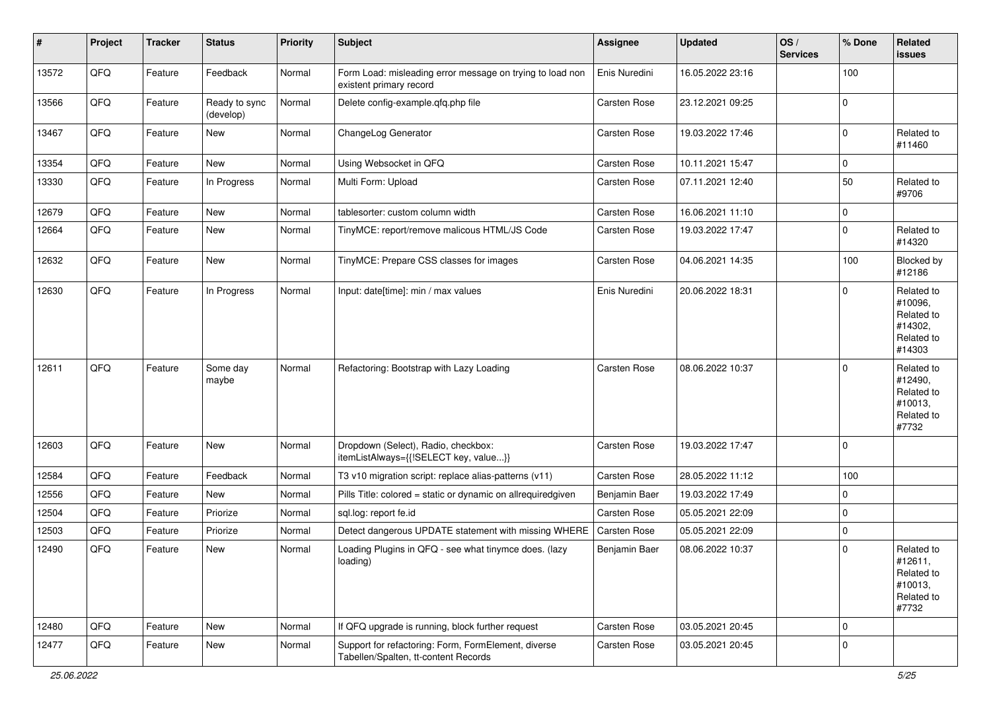| #     | Project | <b>Tracker</b> | <b>Status</b>              | <b>Priority</b> | <b>Subject</b>                                                                              | <b>Assignee</b> | <b>Updated</b>   | OS/<br><b>Services</b> | % Done      | Related<br>issues                                                      |
|-------|---------|----------------|----------------------------|-----------------|---------------------------------------------------------------------------------------------|-----------------|------------------|------------------------|-------------|------------------------------------------------------------------------|
| 13572 | QFQ     | Feature        | Feedback                   | Normal          | Form Load: misleading error message on trying to load non<br>existent primary record        | Enis Nuredini   | 16.05.2022 23:16 |                        | 100         |                                                                        |
| 13566 | QFQ     | Feature        | Ready to sync<br>(develop) | Normal          | Delete config-example.qfq.php file                                                          | Carsten Rose    | 23.12.2021 09:25 |                        | $\mathbf 0$ |                                                                        |
| 13467 | QFQ     | Feature        | New                        | Normal          | ChangeLog Generator                                                                         | Carsten Rose    | 19.03.2022 17:46 |                        | $\mathbf 0$ | Related to<br>#11460                                                   |
| 13354 | QFQ     | Feature        | New                        | Normal          | Using Websocket in QFQ                                                                      | Carsten Rose    | 10.11.2021 15:47 |                        | 0           |                                                                        |
| 13330 | QFQ     | Feature        | In Progress                | Normal          | Multi Form: Upload                                                                          | Carsten Rose    | 07.11.2021 12:40 |                        | 50          | Related to<br>#9706                                                    |
| 12679 | QFQ     | Feature        | New                        | Normal          | tablesorter: custom column width                                                            | Carsten Rose    | 16.06.2021 11:10 |                        | 0           |                                                                        |
| 12664 | QFQ     | Feature        | New                        | Normal          | TinyMCE: report/remove malicous HTML/JS Code                                                | Carsten Rose    | 19.03.2022 17:47 |                        | $\mathbf 0$ | Related to<br>#14320                                                   |
| 12632 | QFQ     | Feature        | New                        | Normal          | TinyMCE: Prepare CSS classes for images                                                     | Carsten Rose    | 04.06.2021 14:35 |                        | 100         | Blocked by<br>#12186                                                   |
| 12630 | QFQ     | Feature        | In Progress                | Normal          | Input: date[time]: min / max values                                                         | Enis Nuredini   | 20.06.2022 18:31 |                        | $\Omega$    | Related to<br>#10096,<br>Related to<br>#14302,<br>Related to<br>#14303 |
| 12611 | QFQ     | Feature        | Some day<br>maybe          | Normal          | Refactoring: Bootstrap with Lazy Loading                                                    | Carsten Rose    | 08.06.2022 10:37 |                        | $\mathbf 0$ | Related to<br>#12490,<br>Related to<br>#10013,<br>Related to<br>#7732  |
| 12603 | QFQ     | Feature        | New                        | Normal          | Dropdown (Select), Radio, checkbox:<br>itemListAlways={{!SELECT key, value}}                | Carsten Rose    | 19.03.2022 17:47 |                        | $\mathbf 0$ |                                                                        |
| 12584 | QFQ     | Feature        | Feedback                   | Normal          | T3 v10 migration script: replace alias-patterns (v11)                                       | Carsten Rose    | 28.05.2022 11:12 |                        | 100         |                                                                        |
| 12556 | QFQ     | Feature        | New                        | Normal          | Pills Title: colored = static or dynamic on allrequiredgiven                                | Benjamin Baer   | 19.03.2022 17:49 |                        | 0           |                                                                        |
| 12504 | QFQ     | Feature        | Priorize                   | Normal          | sql.log: report fe.id                                                                       | Carsten Rose    | 05.05.2021 22:09 |                        | $\mathbf 0$ |                                                                        |
| 12503 | QFQ     | Feature        | Priorize                   | Normal          | Detect dangerous UPDATE statement with missing WHERE                                        | Carsten Rose    | 05.05.2021 22:09 |                        | $\mathbf 0$ |                                                                        |
| 12490 | QFQ     | Feature        | New                        | Normal          | Loading Plugins in QFQ - see what tinymce does. (lazy<br>loading)                           | Benjamin Baer   | 08.06.2022 10:37 |                        | $\mathbf 0$ | Related to<br>#12611,<br>Related to<br>#10013,<br>Related to<br>#7732  |
| 12480 | QFQ     | Feature        | New                        | Normal          | If QFQ upgrade is running, block further request                                            | Carsten Rose    | 03.05.2021 20:45 |                        | 0           |                                                                        |
| 12477 | QFQ     | Feature        | New                        | Normal          | Support for refactoring: Form, FormElement, diverse<br>Tabellen/Spalten, tt-content Records | Carsten Rose    | 03.05.2021 20:45 |                        | $\mathbf 0$ |                                                                        |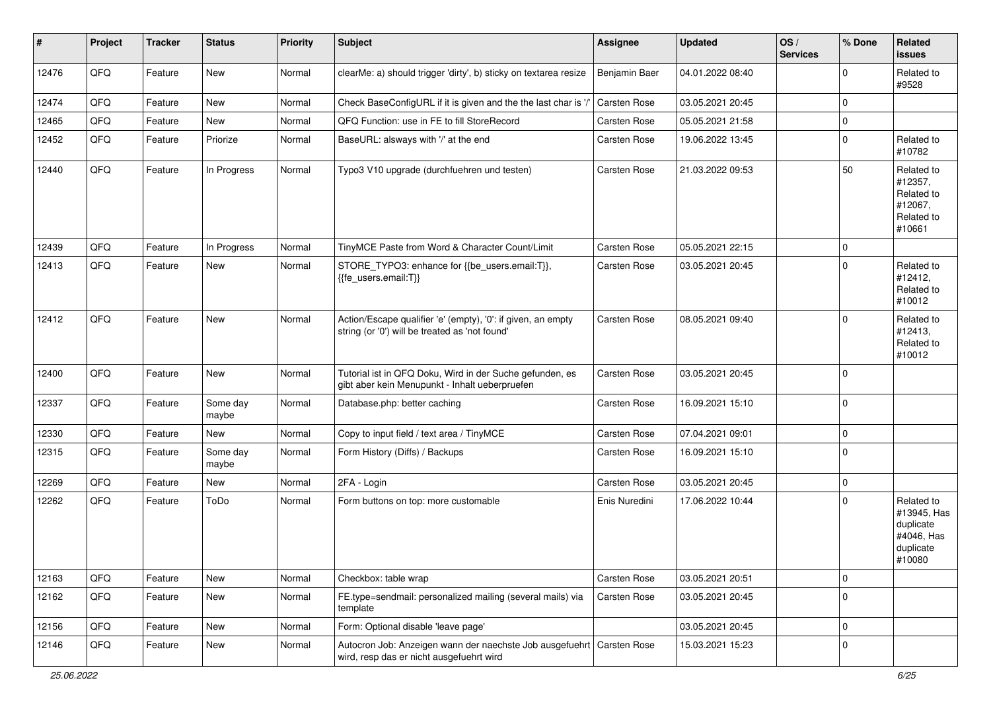| #     | Project | <b>Tracker</b> | <b>Status</b>     | <b>Priority</b> | <b>Subject</b>                                                                                                      | <b>Assignee</b> | <b>Updated</b>   | OS/<br><b>Services</b> | % Done      | Related<br><b>issues</b>                                                    |
|-------|---------|----------------|-------------------|-----------------|---------------------------------------------------------------------------------------------------------------------|-----------------|------------------|------------------------|-------------|-----------------------------------------------------------------------------|
| 12476 | QFQ     | Feature        | New               | Normal          | clearMe: a) should trigger 'dirty', b) sticky on textarea resize                                                    | Benjamin Baer   | 04.01.2022 08:40 |                        | $\mathbf 0$ | Related to<br>#9528                                                         |
| 12474 | QFQ     | Feature        | <b>New</b>        | Normal          | Check BaseConfigURL if it is given and the the last char is '/                                                      | Carsten Rose    | 03.05.2021 20:45 |                        | 0           |                                                                             |
| 12465 | QFQ     | Feature        | New               | Normal          | QFQ Function: use in FE to fill StoreRecord                                                                         | Carsten Rose    | 05.05.2021 21:58 |                        | 0           |                                                                             |
| 12452 | QFQ     | Feature        | Priorize          | Normal          | BaseURL: alsways with '/' at the end                                                                                | Carsten Rose    | 19.06.2022 13:45 |                        | 0           | Related to<br>#10782                                                        |
| 12440 | QFQ     | Feature        | In Progress       | Normal          | Typo3 V10 upgrade (durchfuehren und testen)                                                                         | Carsten Rose    | 21.03.2022 09:53 |                        | 50          | Related to<br>#12357,<br>Related to<br>#12067,<br>Related to<br>#10661      |
| 12439 | QFQ     | Feature        | In Progress       | Normal          | TinyMCE Paste from Word & Character Count/Limit                                                                     | Carsten Rose    | 05.05.2021 22:15 |                        | 0           |                                                                             |
| 12413 | QFQ     | Feature        | New               | Normal          | STORE_TYPO3: enhance for {{be_users.email:T}},<br>{{fe_users.email:T}}                                              | Carsten Rose    | 03.05.2021 20:45 |                        | 0           | Related to<br>#12412,<br>Related to<br>#10012                               |
| 12412 | QFQ     | Feature        | New               | Normal          | Action/Escape qualifier 'e' (empty), '0': if given, an empty<br>string (or '0') will be treated as 'not found'      | Carsten Rose    | 08.05.2021 09:40 |                        | $\mathbf 0$ | Related to<br>#12413,<br>Related to<br>#10012                               |
| 12400 | QFQ     | Feature        | New               | Normal          | Tutorial ist in QFQ Doku, Wird in der Suche gefunden, es<br>gibt aber kein Menupunkt - Inhalt ueberpruefen          | Carsten Rose    | 03.05.2021 20:45 |                        | 0           |                                                                             |
| 12337 | QFQ     | Feature        | Some day<br>maybe | Normal          | Database.php: better caching                                                                                        | Carsten Rose    | 16.09.2021 15:10 |                        | $\mathbf 0$ |                                                                             |
| 12330 | QFQ     | Feature        | New               | Normal          | Copy to input field / text area / TinyMCE                                                                           | Carsten Rose    | 07.04.2021 09:01 |                        | $\pmb{0}$   |                                                                             |
| 12315 | QFQ     | Feature        | Some day<br>maybe | Normal          | Form History (Diffs) / Backups                                                                                      | Carsten Rose    | 16.09.2021 15:10 |                        | $\mathbf 0$ |                                                                             |
| 12269 | QFQ     | Feature        | New               | Normal          | 2FA - Login                                                                                                         | Carsten Rose    | 03.05.2021 20:45 |                        | $\mathbf 0$ |                                                                             |
| 12262 | QFQ     | Feature        | ToDo              | Normal          | Form buttons on top: more customable                                                                                | Enis Nuredini   | 17.06.2022 10:44 |                        | 0           | Related to<br>#13945, Has<br>duplicate<br>#4046, Has<br>duplicate<br>#10080 |
| 12163 | QFQ     | Feature        | New               | Normal          | Checkbox: table wrap                                                                                                | Carsten Rose    | 03.05.2021 20:51 |                        | 0           |                                                                             |
| 12162 | QFQ     | Feature        | New               | Normal          | FE.type=sendmail: personalized mailing (several mails) via<br>template                                              | Carsten Rose    | 03.05.2021 20:45 |                        | $\mathbf 0$ |                                                                             |
| 12156 | QFQ     | Feature        | New               | Normal          | Form: Optional disable 'leave page'                                                                                 |                 | 03.05.2021 20:45 |                        | $\mathbf 0$ |                                                                             |
| 12146 | QFQ     | Feature        | New               | Normal          | Autocron Job: Anzeigen wann der naechste Job ausgefuehrt   Carsten Rose<br>wird, resp das er nicht ausgefuehrt wird |                 | 15.03.2021 15:23 |                        | 0           |                                                                             |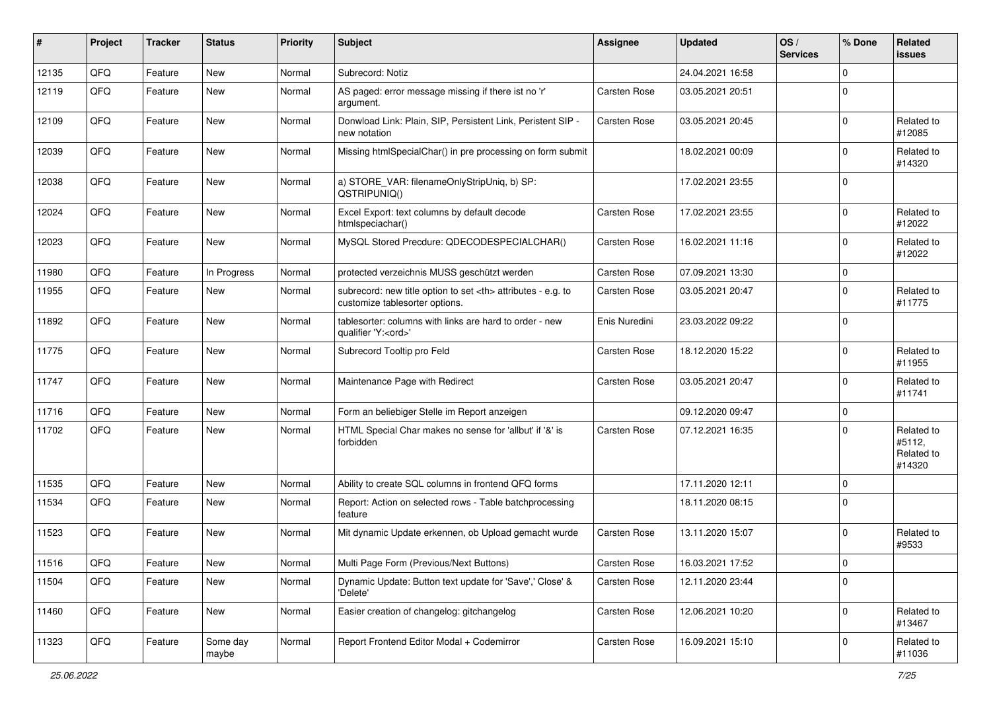| #     | Project    | <b>Tracker</b> | <b>Status</b>     | <b>Priority</b> | <b>Subject</b>                                                                                       | <b>Assignee</b>                                        | <b>Updated</b>   | OS/<br><b>Services</b> | % Done      | Related<br><b>issues</b>                     |                      |
|-------|------------|----------------|-------------------|-----------------|------------------------------------------------------------------------------------------------------|--------------------------------------------------------|------------------|------------------------|-------------|----------------------------------------------|----------------------|
| 12135 | QFQ        | Feature        | <b>New</b>        | Normal          | Subrecord: Notiz                                                                                     |                                                        | 24.04.2021 16:58 |                        | $\Omega$    |                                              |                      |
| 12119 | QFQ        | Feature        | New               | Normal          | AS paged: error message missing if there ist no 'r'<br>argument.                                     | Carsten Rose                                           | 03.05.2021 20:51 |                        | $\Omega$    |                                              |                      |
| 12109 | QFQ        | Feature        | New               | Normal          | Donwload Link: Plain, SIP, Persistent Link, Peristent SIP -<br>new notation                          | Carsten Rose                                           | 03.05.2021 20:45 |                        | $\mathbf 0$ | Related to<br>#12085                         |                      |
| 12039 | QFQ        | Feature        | <b>New</b>        | Normal          | Missing htmlSpecialChar() in pre processing on form submit                                           |                                                        | 18.02.2021 00:09 |                        | $\Omega$    | Related to<br>#14320                         |                      |
| 12038 | QFQ        | Feature        | New               | Normal          | a) STORE_VAR: filenameOnlyStripUniq, b) SP:<br>QSTRIPUNIQ()                                          |                                                        | 17.02.2021 23:55 |                        | $\Omega$    |                                              |                      |
| 12024 | QFQ        | Feature        | New               | Normal          | Excel Export: text columns by default decode<br>htmlspeciachar()                                     | Carsten Rose                                           | 17.02.2021 23:55 |                        | $\Omega$    | Related to<br>#12022                         |                      |
| 12023 | QFQ        | Feature        | New               | Normal          | MySQL Stored Precdure: QDECODESPECIALCHAR()                                                          | Carsten Rose                                           | 16.02.2021 11:16 |                        | $\Omega$    | Related to<br>#12022                         |                      |
| 11980 | QFQ        | Feature        | In Progress       | Normal          | protected verzeichnis MUSS geschützt werden                                                          | Carsten Rose                                           | 07.09.2021 13:30 |                        | $\mathbf 0$ |                                              |                      |
| 11955 | QFQ        | Feature        | <b>New</b>        | Normal          | subrecord: new title option to set <th> attributes - e.g. to<br/>customize tablesorter options.</th> | attributes - e.g. to<br>customize tablesorter options. | Carsten Rose     | 03.05.2021 20:47       |             | $\mathbf 0$                                  | Related to<br>#11775 |
| 11892 | QFQ        | Feature        | New               | Normal          | tablesorter: columns with links are hard to order - new<br>qualifier 'Y: <ord>'</ord>                | Enis Nuredini                                          | 23.03.2022 09:22 |                        | $\Omega$    |                                              |                      |
| 11775 | QFQ        | Feature        | New               | Normal          | Subrecord Tooltip pro Feld                                                                           | Carsten Rose                                           | 18.12.2020 15:22 |                        | $\Omega$    | Related to<br>#11955                         |                      |
| 11747 | QFQ        | Feature        | New               | Normal          | Maintenance Page with Redirect                                                                       | Carsten Rose                                           | 03.05.2021 20:47 |                        | $\mathbf 0$ | Related to<br>#11741                         |                      |
| 11716 | QFQ        | Feature        | New               | Normal          | Form an beliebiger Stelle im Report anzeigen                                                         |                                                        | 09.12.2020 09:47 |                        | $\mathbf 0$ |                                              |                      |
| 11702 | QFQ        | Feature        | New               | Normal          | HTML Special Char makes no sense for 'allbut' if '&' is<br>forbidden                                 | Carsten Rose                                           | 07.12.2021 16:35 |                        | $\Omega$    | Related to<br>#5112,<br>Related to<br>#14320 |                      |
| 11535 | QFQ        | Feature        | New               | Normal          | Ability to create SQL columns in frontend QFQ forms                                                  |                                                        | 17.11.2020 12:11 |                        | $\mathbf 0$ |                                              |                      |
| 11534 | QFQ        | Feature        | New               | Normal          | Report: Action on selected rows - Table batchprocessing<br>feature                                   |                                                        | 18.11.2020 08:15 |                        | $\mathbf 0$ |                                              |                      |
| 11523 | QFQ        | Feature        | New               | Normal          | Mit dynamic Update erkennen, ob Upload gemacht wurde                                                 | Carsten Rose                                           | 13.11.2020 15:07 |                        | $\mathbf 0$ | Related to<br>#9533                          |                      |
| 11516 | <b>QFQ</b> | Feature        | New               | Normal          | Multi Page Form (Previous/Next Buttons)                                                              | Carsten Rose                                           | 16.03.2021 17:52 |                        | 0           |                                              |                      |
| 11504 | QFQ        | Feature        | New               | Normal          | Dynamic Update: Button text update for 'Save',' Close' &<br>'Delete'                                 | Carsten Rose                                           | 12.11.2020 23:44 |                        | $\mathbf 0$ |                                              |                      |
| 11460 | QFQ        | Feature        | New               | Normal          | Easier creation of changelog: gitchangelog                                                           | Carsten Rose                                           | 12.06.2021 10:20 |                        | $\mathbf 0$ | Related to<br>#13467                         |                      |
| 11323 | QFQ        | Feature        | Some day<br>maybe | Normal          | Report Frontend Editor Modal + Codemirror                                                            | Carsten Rose                                           | 16.09.2021 15:10 |                        | 0           | Related to<br>#11036                         |                      |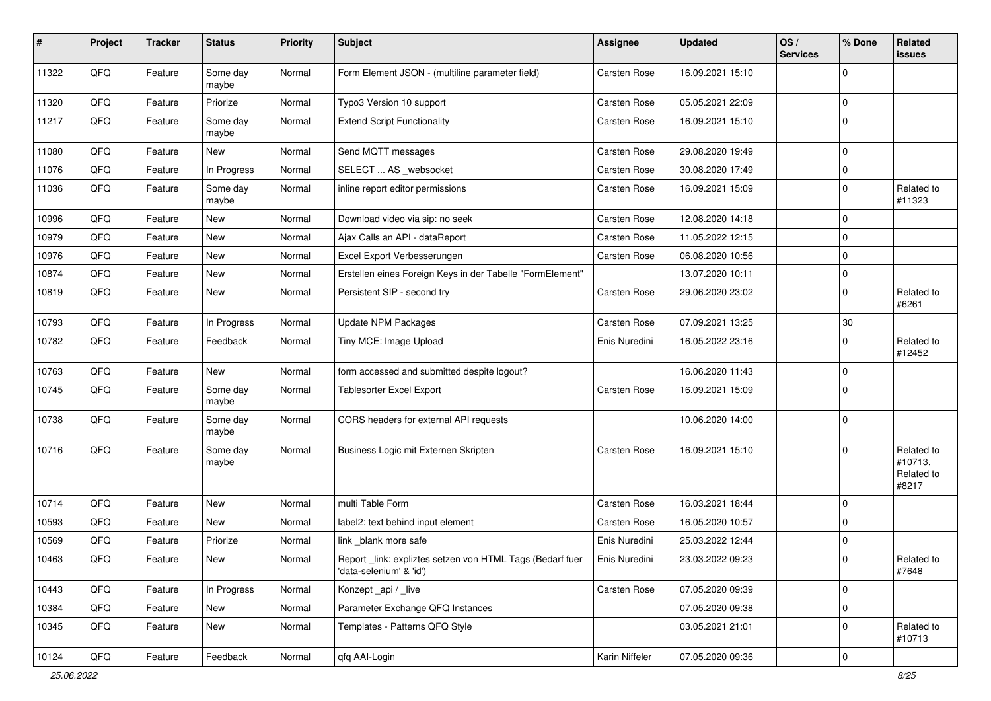| $\sharp$ | Project | <b>Tracker</b> | <b>Status</b>     | <b>Priority</b> | <b>Subject</b>                                                                      | Assignee       | Updated          | OS/<br><b>Services</b> | % Done      | Related<br>issues                            |
|----------|---------|----------------|-------------------|-----------------|-------------------------------------------------------------------------------------|----------------|------------------|------------------------|-------------|----------------------------------------------|
| 11322    | QFQ     | Feature        | Some day<br>maybe | Normal          | Form Element JSON - (multiline parameter field)                                     | Carsten Rose   | 16.09.2021 15:10 |                        | $\Omega$    |                                              |
| 11320    | QFQ     | Feature        | Priorize          | Normal          | Typo3 Version 10 support                                                            | Carsten Rose   | 05.05.2021 22:09 |                        | $\mathbf 0$ |                                              |
| 11217    | QFQ     | Feature        | Some day<br>maybe | Normal          | <b>Extend Script Functionality</b>                                                  | Carsten Rose   | 16.09.2021 15:10 |                        | $\Omega$    |                                              |
| 11080    | QFQ     | Feature        | New               | Normal          | Send MQTT messages                                                                  | Carsten Rose   | 29.08.2020 19:49 |                        | $\mathbf 0$ |                                              |
| 11076    | QFQ     | Feature        | In Progress       | Normal          | SELECT  AS _websocket                                                               | Carsten Rose   | 30.08.2020 17:49 |                        | $\mathbf 0$ |                                              |
| 11036    | QFQ     | Feature        | Some day<br>maybe | Normal          | inline report editor permissions                                                    | Carsten Rose   | 16.09.2021 15:09 |                        | $\Omega$    | Related to<br>#11323                         |
| 10996    | QFQ     | Feature        | New               | Normal          | Download video via sip: no seek                                                     | Carsten Rose   | 12.08.2020 14:18 |                        | $\mathbf 0$ |                                              |
| 10979    | QFQ     | Feature        | New               | Normal          | Ajax Calls an API - dataReport                                                      | Carsten Rose   | 11.05.2022 12:15 |                        | $\Omega$    |                                              |
| 10976    | QFQ     | Feature        | New               | Normal          | Excel Export Verbesserungen                                                         | Carsten Rose   | 06.08.2020 10:56 |                        | $\Omega$    |                                              |
| 10874    | QFQ     | Feature        | New               | Normal          | Erstellen eines Foreign Keys in der Tabelle "FormElement"                           |                | 13.07.2020 10:11 |                        | $\mathbf 0$ |                                              |
| 10819    | QFQ     | Feature        | New               | Normal          | Persistent SIP - second try                                                         | Carsten Rose   | 29.06.2020 23:02 |                        | $\mathbf 0$ | Related to<br>#6261                          |
| 10793    | QFQ     | Feature        | In Progress       | Normal          | Update NPM Packages                                                                 | Carsten Rose   | 07.09.2021 13:25 |                        | $30\,$      |                                              |
| 10782    | QFQ     | Feature        | Feedback          | Normal          | Tiny MCE: Image Upload                                                              | Enis Nuredini  | 16.05.2022 23:16 |                        | $\Omega$    | Related to<br>#12452                         |
| 10763    | QFQ     | Feature        | New               | Normal          | form accessed and submitted despite logout?                                         |                | 16.06.2020 11:43 |                        | $\mathbf 0$ |                                              |
| 10745    | QFQ     | Feature        | Some day<br>maybe | Normal          | Tablesorter Excel Export                                                            | Carsten Rose   | 16.09.2021 15:09 |                        | $\Omega$    |                                              |
| 10738    | QFQ     | Feature        | Some day<br>maybe | Normal          | CORS headers for external API requests                                              |                | 10.06.2020 14:00 |                        | $\mathbf 0$ |                                              |
| 10716    | QFQ     | Feature        | Some day<br>maybe | Normal          | Business Logic mit Externen Skripten                                                | Carsten Rose   | 16.09.2021 15:10 |                        | $\Omega$    | Related to<br>#10713,<br>Related to<br>#8217 |
| 10714    | QFQ     | Feature        | <b>New</b>        | Normal          | multi Table Form                                                                    | Carsten Rose   | 16.03.2021 18:44 |                        | $\Omega$    |                                              |
| 10593    | QFQ     | Feature        | New               | Normal          | label2: text behind input element                                                   | Carsten Rose   | 16.05.2020 10:57 |                        | 0           |                                              |
| 10569    | QFQ     | Feature        | Priorize          | Normal          | link _blank more safe                                                               | Enis Nuredini  | 25.03.2022 12:44 |                        | $\mathbf 0$ |                                              |
| 10463    | QFQ     | Feature        | New               | Normal          | Report_link: expliztes setzen von HTML Tags (Bedarf fuer<br>'data-selenium' & 'id') | Enis Nuredini  | 23.03.2022 09:23 |                        | $\pmb{0}$   | Related to<br>#7648                          |
| 10443    | QFQ     | Feature        | In Progress       | Normal          | Konzept_api / _live                                                                 | Carsten Rose   | 07.05.2020 09:39 |                        | $\mathbf 0$ |                                              |
| 10384    | QFQ     | Feature        | New               | Normal          | Parameter Exchange QFQ Instances                                                    |                | 07.05.2020 09:38 |                        | $\pmb{0}$   |                                              |
| 10345    | QFQ     | Feature        | New               | Normal          | Templates - Patterns QFQ Style                                                      |                | 03.05.2021 21:01 |                        | 0           | Related to<br>#10713                         |
| 10124    | QFQ     | Feature        | Feedback          | Normal          | qfq AAI-Login                                                                       | Karin Niffeler | 07.05.2020 09:36 |                        | $\mathbf 0$ |                                              |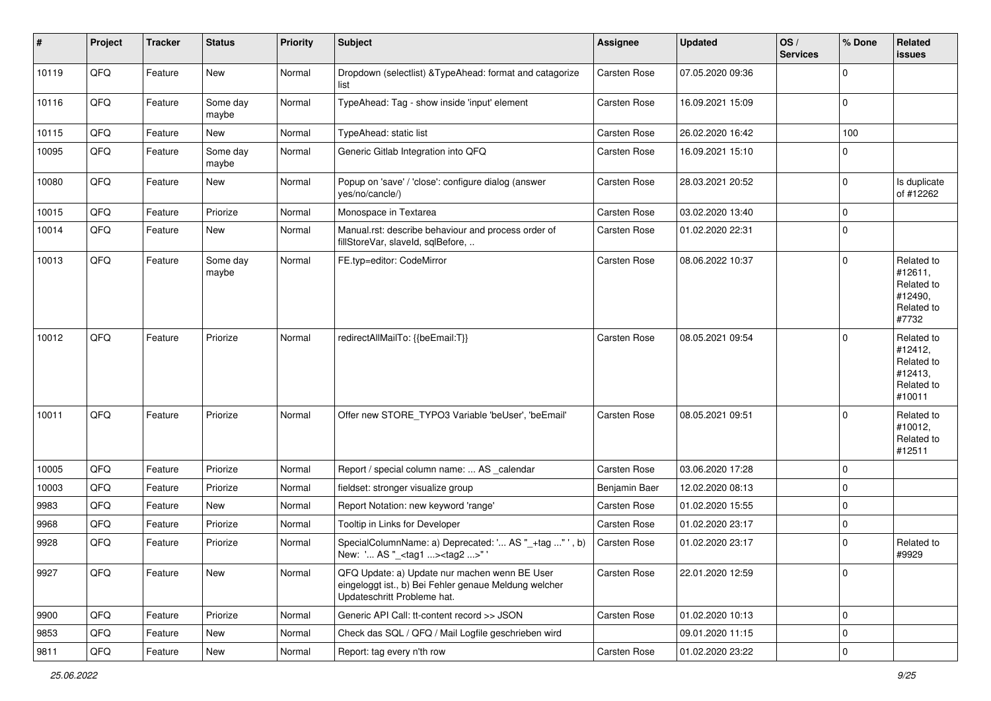| $\sharp$ | Project | <b>Tracker</b> | <b>Status</b>     | <b>Priority</b> | <b>Subject</b>                                                                                                                        | Assignee      | <b>Updated</b>   | OS/<br><b>Services</b> | % Done      | Related<br>issues                                                      |
|----------|---------|----------------|-------------------|-----------------|---------------------------------------------------------------------------------------------------------------------------------------|---------------|------------------|------------------------|-------------|------------------------------------------------------------------------|
| 10119    | QFQ     | Feature        | New               | Normal          | Dropdown (selectlist) & TypeAhead: format and catagorize<br>list                                                                      | Carsten Rose  | 07.05.2020 09:36 |                        | $\mathbf 0$ |                                                                        |
| 10116    | QFQ     | Feature        | Some day<br>maybe | Normal          | TypeAhead: Tag - show inside 'input' element                                                                                          | Carsten Rose  | 16.09.2021 15:09 |                        | 0           |                                                                        |
| 10115    | QFQ     | Feature        | New               | Normal          | TypeAhead: static list                                                                                                                | Carsten Rose  | 26.02.2020 16:42 |                        | 100         |                                                                        |
| 10095    | QFQ     | Feature        | Some day<br>maybe | Normal          | Generic Gitlab Integration into QFQ                                                                                                   | Carsten Rose  | 16.09.2021 15:10 |                        | $\Omega$    |                                                                        |
| 10080    | QFQ     | Feature        | New               | Normal          | Popup on 'save' / 'close': configure dialog (answer<br>yes/no/cancle/)                                                                | Carsten Rose  | 28.03.2021 20:52 |                        | 0           | Is duplicate<br>of #12262                                              |
| 10015    | QFQ     | Feature        | Priorize          | Normal          | Monospace in Textarea                                                                                                                 | Carsten Rose  | 03.02.2020 13:40 |                        | 0           |                                                                        |
| 10014    | QFQ     | Feature        | New               | Normal          | Manual.rst: describe behaviour and process order of<br>fillStoreVar, slaveId, sqlBefore,                                              | Carsten Rose  | 01.02.2020 22:31 |                        | 0           |                                                                        |
| 10013    | QFQ     | Feature        | Some day<br>maybe | Normal          | FE.typ=editor: CodeMirror                                                                                                             | Carsten Rose  | 08.06.2022 10:37 |                        | 0           | Related to<br>#12611,<br>Related to<br>#12490,<br>Related to<br>#7732  |
| 10012    | QFQ     | Feature        | Priorize          | Normal          | redirectAllMailTo: {{beEmail:T}}                                                                                                      | Carsten Rose  | 08.05.2021 09:54 |                        | $\mathbf 0$ | Related to<br>#12412,<br>Related to<br>#12413,<br>Related to<br>#10011 |
| 10011    | QFQ     | Feature        | Priorize          | Normal          | Offer new STORE_TYPO3 Variable 'beUser', 'beEmail'                                                                                    | Carsten Rose  | 08.05.2021 09:51 |                        | $\Omega$    | Related to<br>#10012,<br>Related to<br>#12511                          |
| 10005    | QFQ     | Feature        | Priorize          | Normal          | Report / special column name:  AS _calendar                                                                                           | Carsten Rose  | 03.06.2020 17:28 |                        | $\mathbf 0$ |                                                                        |
| 10003    | QFQ     | Feature        | Priorize          | Normal          | fieldset: stronger visualize group                                                                                                    | Benjamin Baer | 12.02.2020 08:13 |                        | 0           |                                                                        |
| 9983     | QFQ     | Feature        | New               | Normal          | Report Notation: new keyword 'range'                                                                                                  | Carsten Rose  | 01.02.2020 15:55 |                        | $\mathbf 0$ |                                                                        |
| 9968     | QFQ     | Feature        | Priorize          | Normal          | Tooltip in Links for Developer                                                                                                        | Carsten Rose  | 01.02.2020 23:17 |                        | 0           |                                                                        |
| 9928     | QFQ     | Feature        | Priorize          | Normal          | SpecialColumnName: a) Deprecated: ' AS "_+tag " ', b)<br>New: ' AS "_ <tag1><tag2>"'</tag2></tag1>                                    | Carsten Rose  | 01.02.2020 23:17 |                        | $\mathbf 0$ | Related to<br>#9929                                                    |
| 9927     | QFQ     | Feature        | New               | Normal          | QFQ Update: a) Update nur machen wenn BE User<br>eingeloggt ist., b) Bei Fehler genaue Meldung welcher<br>Updateschritt Probleme hat. | Carsten Rose  | 22.01.2020 12:59 |                        | $\mathbf 0$ |                                                                        |
| 9900     | QFQ     | Feature        | Priorize          | Normal          | Generic API Call: tt-content record >> JSON                                                                                           | Carsten Rose  | 01.02.2020 10:13 |                        | 0           |                                                                        |
| 9853     | QFQ     | Feature        | New               | Normal          | Check das SQL / QFQ / Mail Logfile geschrieben wird                                                                                   |               | 09.01.2020 11:15 |                        | $\pmb{0}$   |                                                                        |
| 9811     | QFG     | Feature        | New               | Normal          | Report: tag every n'th row                                                                                                            | Carsten Rose  | 01.02.2020 23:22 |                        | $\pmb{0}$   |                                                                        |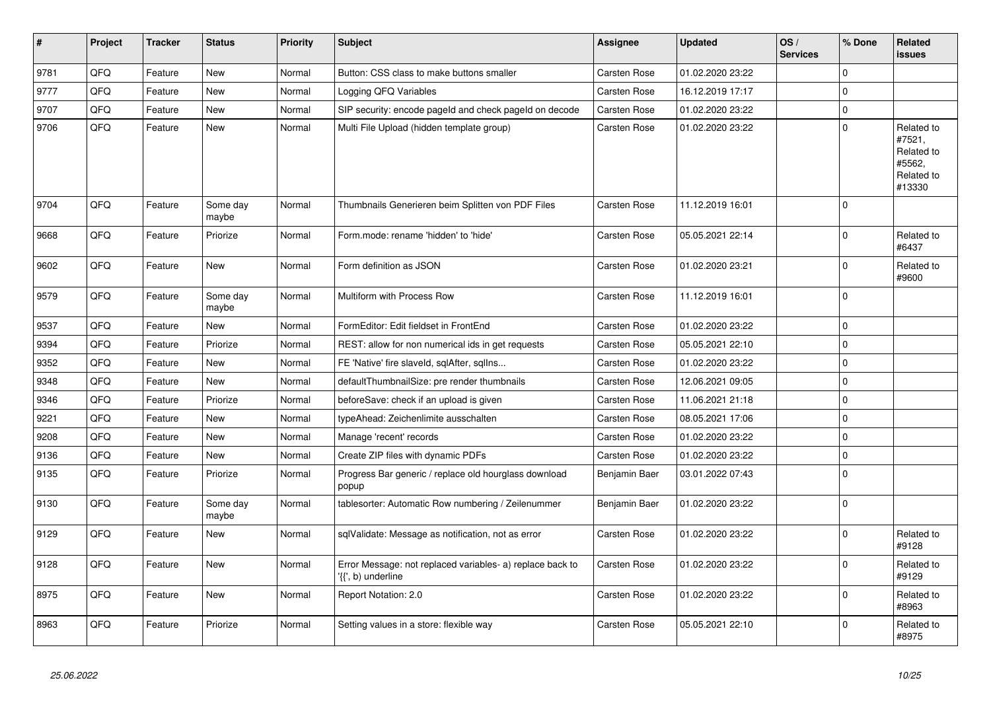| $\vert$ # | <b>Project</b> | <b>Tracker</b> | <b>Status</b>     | <b>Priority</b> | <b>Subject</b>                                                                  | Assignee            | <b>Updated</b>   | OS/<br><b>Services</b> | % Done              | Related<br><b>issues</b>                                             |
|-----------|----------------|----------------|-------------------|-----------------|---------------------------------------------------------------------------------|---------------------|------------------|------------------------|---------------------|----------------------------------------------------------------------|
| 9781      | QFQ            | Feature        | <b>New</b>        | Normal          | Button: CSS class to make buttons smaller                                       | <b>Carsten Rose</b> | 01.02.2020 23:22 |                        | $\Omega$            |                                                                      |
| 9777      | QFQ            | Feature        | New               | Normal          | Logging QFQ Variables                                                           | Carsten Rose        | 16.12.2019 17:17 |                        | $\mathbf 0$         |                                                                      |
| 9707      | QFQ            | Feature        | New               | Normal          | SIP security: encode pageld and check pageld on decode                          | <b>Carsten Rose</b> | 01.02.2020 23:22 |                        | $\mathbf 0$         |                                                                      |
| 9706      | QFQ            | Feature        | New               | Normal          | Multi File Upload (hidden template group)                                       | Carsten Rose        | 01.02.2020 23:22 |                        | $\overline{0}$      | Related to<br>#7521,<br>Related to<br>#5562,<br>Related to<br>#13330 |
| 9704      | QFQ            | Feature        | Some day<br>maybe | Normal          | Thumbnails Generieren beim Splitten von PDF Files                               | Carsten Rose        | 11.12.2019 16:01 |                        | $\Omega$            |                                                                      |
| 9668      | QFQ            | Feature        | Priorize          | Normal          | Form.mode: rename 'hidden' to 'hide'                                            | <b>Carsten Rose</b> | 05.05.2021 22:14 |                        | $\mathbf 0$         | Related to<br>#6437                                                  |
| 9602      | QFQ            | Feature        | <b>New</b>        | Normal          | Form definition as JSON                                                         | <b>Carsten Rose</b> | 01.02.2020 23:21 |                        | $\mathbf 0$         | Related to<br>#9600                                                  |
| 9579      | QFQ            | Feature        | Some day<br>maybe | Normal          | Multiform with Process Row                                                      | Carsten Rose        | 11.12.2019 16:01 |                        | $\Omega$            |                                                                      |
| 9537      | QFQ            | Feature        | New               | Normal          | FormEditor: Edit fieldset in FrontEnd                                           | <b>Carsten Rose</b> | 01.02.2020 23:22 |                        | $\mathbf 0$         |                                                                      |
| 9394      | QFQ            | Feature        | Priorize          | Normal          | REST: allow for non numerical ids in get requests                               | Carsten Rose        | 05.05.2021 22:10 |                        | $\mathbf 0$         |                                                                      |
| 9352      | QFQ            | Feature        | New               | Normal          | FE 'Native' fire slaveld, sqlAfter, sqlIns                                      | Carsten Rose        | 01.02.2020 23:22 |                        | $\mathbf 0$         |                                                                      |
| 9348      | QFQ            | Feature        | <b>New</b>        | Normal          | defaultThumbnailSize: pre render thumbnails                                     | <b>Carsten Rose</b> | 12.06.2021 09:05 |                        | $\mathbf 0$         |                                                                      |
| 9346      | QFQ            | Feature        | Priorize          | Normal          | beforeSave: check if an upload is given                                         | <b>Carsten Rose</b> | 11.06.2021 21:18 |                        | $\mathsf{O}\xspace$ |                                                                      |
| 9221      | QFQ            | Feature        | New               | Normal          | typeAhead: Zeichenlimite ausschalten                                            | Carsten Rose        | 08.05.2021 17:06 |                        | $\mathbf 0$         |                                                                      |
| 9208      | QFQ            | Feature        | New               | Normal          | Manage 'recent' records                                                         | <b>Carsten Rose</b> | 01.02.2020 23:22 |                        | $\mathbf 0$         |                                                                      |
| 9136      | QFQ            | Feature        | New               | Normal          | Create ZIP files with dynamic PDFs                                              | <b>Carsten Rose</b> | 01.02.2020 23:22 |                        | $\mathsf{O}\xspace$ |                                                                      |
| 9135      | QFQ            | Feature        | Priorize          | Normal          | Progress Bar generic / replace old hourglass download<br>popup                  | Benjamin Baer       | 03.01.2022 07:43 |                        | $\Omega$            |                                                                      |
| 9130      | QFQ            | Feature        | Some day<br>maybe | Normal          | tablesorter: Automatic Row numbering / Zeilenummer                              | Benjamin Baer       | 01.02.2020 23:22 |                        | $\mathbf 0$         |                                                                      |
| 9129      | QFQ            | Feature        | <b>New</b>        | Normal          | sqlValidate: Message as notification, not as error                              | <b>Carsten Rose</b> | 01.02.2020 23:22 |                        | $\mathbf 0$         | Related to<br>#9128                                                  |
| 9128      | QFQ            | Feature        | New               | Normal          | Error Message: not replaced variables- a) replace back to<br>'{{', b) underline | Carsten Rose        | 01.02.2020 23:22 |                        | $\mathbf 0$         | Related to<br>#9129                                                  |
| 8975      | QFQ            | Feature        | New               | Normal          | Report Notation: 2.0                                                            | Carsten Rose        | 01.02.2020 23:22 |                        | $\mathbf 0$         | Related to<br>#8963                                                  |
| 8963      | QFQ            | Feature        | Priorize          | Normal          | Setting values in a store: flexible way                                         | <b>Carsten Rose</b> | 05.05.2021 22:10 |                        | $\Omega$            | Related to<br>#8975                                                  |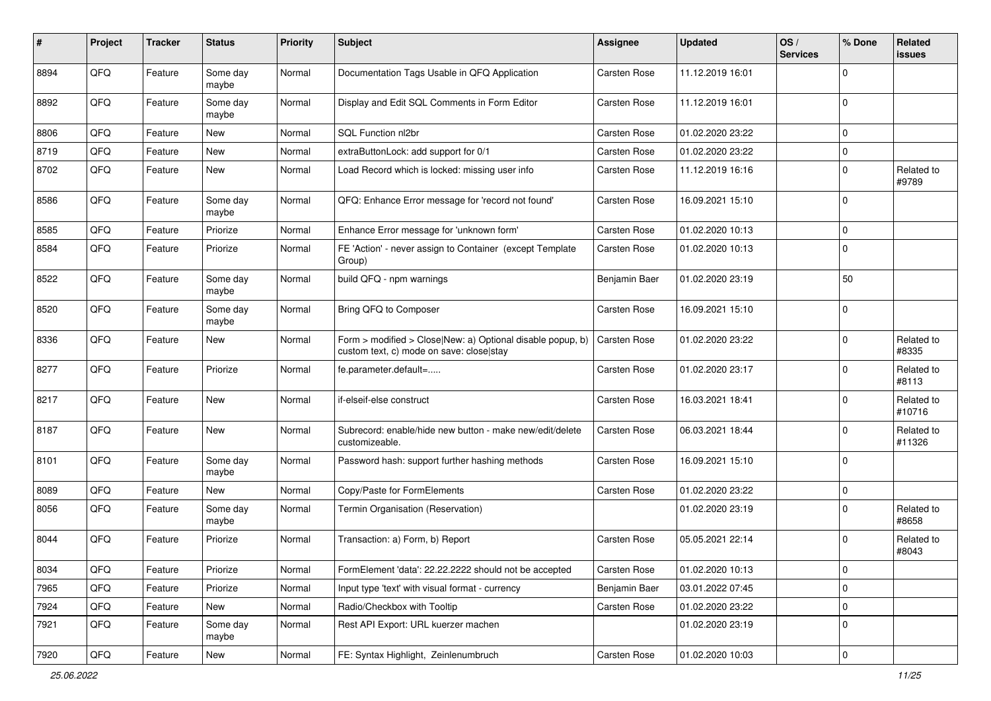| #    | Project | <b>Tracker</b> | <b>Status</b>     | <b>Priority</b> | Subject                                                                                                | Assignee      | <b>Updated</b>   | OS/<br><b>Services</b> | % Done      | Related<br>issues    |
|------|---------|----------------|-------------------|-----------------|--------------------------------------------------------------------------------------------------------|---------------|------------------|------------------------|-------------|----------------------|
| 8894 | QFQ     | Feature        | Some day<br>maybe | Normal          | Documentation Tags Usable in QFQ Application                                                           | Carsten Rose  | 11.12.2019 16:01 |                        | $\Omega$    |                      |
| 8892 | QFQ     | Feature        | Some day<br>maybe | Normal          | Display and Edit SQL Comments in Form Editor                                                           | Carsten Rose  | 11.12.2019 16:01 |                        | $\Omega$    |                      |
| 8806 | QFQ     | Feature        | New               | Normal          | SQL Function nl2br                                                                                     | Carsten Rose  | 01.02.2020 23:22 |                        | $\mathbf 0$ |                      |
| 8719 | QFQ     | Feature        | New               | Normal          | extraButtonLock: add support for 0/1                                                                   | Carsten Rose  | 01.02.2020 23:22 |                        | $\mathbf 0$ |                      |
| 8702 | QFQ     | Feature        | New               | Normal          | Load Record which is locked: missing user info                                                         | Carsten Rose  | 11.12.2019 16:16 |                        | 0           | Related to<br>#9789  |
| 8586 | QFQ     | Feature        | Some day<br>maybe | Normal          | QFQ: Enhance Error message for 'record not found'                                                      | Carsten Rose  | 16.09.2021 15:10 |                        | $\Omega$    |                      |
| 8585 | QFQ     | Feature        | Priorize          | Normal          | Enhance Error message for 'unknown form'                                                               | Carsten Rose  | 01.02.2020 10:13 |                        | $\Omega$    |                      |
| 8584 | QFQ     | Feature        | Priorize          | Normal          | FE 'Action' - never assign to Container (except Template<br>Group)                                     | Carsten Rose  | 01.02.2020 10:13 |                        | $\Omega$    |                      |
| 8522 | QFQ     | Feature        | Some day<br>maybe | Normal          | build QFQ - npm warnings                                                                               | Benjamin Baer | 01.02.2020 23:19 |                        | 50          |                      |
| 8520 | QFQ     | Feature        | Some day<br>maybe | Normal          | Bring QFQ to Composer                                                                                  | Carsten Rose  | 16.09.2021 15:10 |                        | $\Omega$    |                      |
| 8336 | QFQ     | Feature        | New               | Normal          | Form > modified > Close New: a) Optional disable popup, b)<br>custom text, c) mode on save: close stay | Carsten Rose  | 01.02.2020 23:22 |                        | 0           | Related to<br>#8335  |
| 8277 | QFQ     | Feature        | Priorize          | Normal          | fe.parameter.default=                                                                                  | Carsten Rose  | 01.02.2020 23:17 |                        | $\Omega$    | Related to<br>#8113  |
| 8217 | QFQ     | Feature        | New               | Normal          | if-elseif-else construct                                                                               | Carsten Rose  | 16.03.2021 18:41 |                        | $\mathbf 0$ | Related to<br>#10716 |
| 8187 | QFQ     | Feature        | New               | Normal          | Subrecord: enable/hide new button - make new/edit/delete<br>customizeable.                             | Carsten Rose  | 06.03.2021 18:44 |                        | $\mathbf 0$ | Related to<br>#11326 |
| 8101 | QFQ     | Feature        | Some day<br>maybe | Normal          | Password hash: support further hashing methods                                                         | Carsten Rose  | 16.09.2021 15:10 |                        | 0           |                      |
| 8089 | QFQ     | Feature        | New               | Normal          | Copy/Paste for FormElements                                                                            | Carsten Rose  | 01.02.2020 23:22 |                        | $\mathbf 0$ |                      |
| 8056 | QFQ     | Feature        | Some day<br>maybe | Normal          | Termin Organisation (Reservation)                                                                      |               | 01.02.2020 23:19 |                        | $\Omega$    | Related to<br>#8658  |
| 8044 | QFQ     | Feature        | Priorize          | Normal          | Transaction: a) Form, b) Report                                                                        | Carsten Rose  | 05.05.2021 22:14 |                        | $\Omega$    | Related to<br>#8043  |
| 8034 | QFQ     | Feature        | Priorize          | Normal          | FormElement 'data': 22.22.2222 should not be accepted                                                  | Carsten Rose  | 01.02.2020 10:13 |                        | 0           |                      |
| 7965 | QFQ     | Feature        | Priorize          | Normal          | Input type 'text' with visual format - currency                                                        | Benjamin Baer | 03.01.2022 07:45 |                        | 0           |                      |
| 7924 | QFQ     | Feature        | New               | Normal          | Radio/Checkbox with Tooltip                                                                            | Carsten Rose  | 01.02.2020 23:22 |                        | 0           |                      |
| 7921 | QFQ     | Feature        | Some day<br>maybe | Normal          | Rest API Export: URL kuerzer machen                                                                    |               | 01.02.2020 23:19 |                        | 0           |                      |
| 7920 | QFG     | Feature        | New               | Normal          | FE: Syntax Highlight, Zeinlenumbruch                                                                   | Carsten Rose  | 01.02.2020 10:03 |                        | $\pmb{0}$   |                      |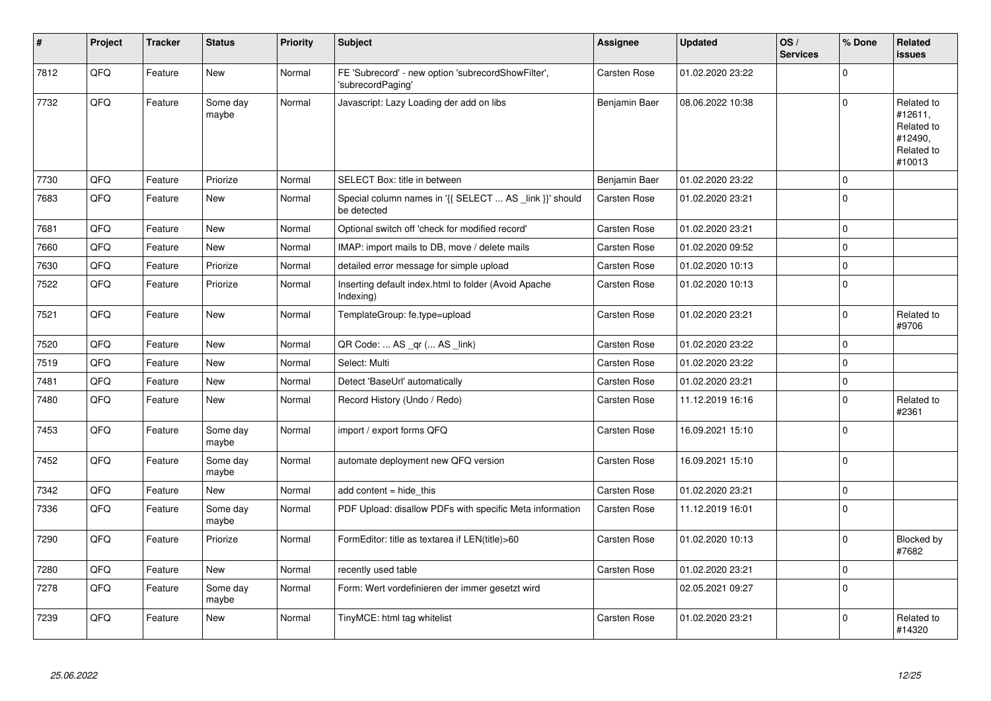| #    | Project | <b>Tracker</b> | <b>Status</b>     | <b>Priority</b> | <b>Subject</b>                                                          | Assignee            | <b>Updated</b>   | OS/<br><b>Services</b> | % Done      | Related<br><b>issues</b>                                               |
|------|---------|----------------|-------------------|-----------------|-------------------------------------------------------------------------|---------------------|------------------|------------------------|-------------|------------------------------------------------------------------------|
| 7812 | QFQ     | Feature        | <b>New</b>        | Normal          | FE 'Subrecord' - new option 'subrecordShowFilter',<br>'subrecordPaging' | <b>Carsten Rose</b> | 01.02.2020 23:22 |                        | $\Omega$    |                                                                        |
| 7732 | QFQ     | Feature        | Some dav<br>maybe | Normal          | Javascript: Lazy Loading der add on libs                                | Benjamin Baer       | 08.06.2022 10:38 |                        | $\Omega$    | Related to<br>#12611,<br>Related to<br>#12490,<br>Related to<br>#10013 |
| 7730 | QFQ     | Feature        | Priorize          | Normal          | SELECT Box: title in between                                            | Benjamin Baer       | 01.02.2020 23:22 |                        | $\mathbf 0$ |                                                                        |
| 7683 | QFQ     | Feature        | <b>New</b>        | Normal          | Special column names in '{{ SELECT  AS _link }}' should<br>be detected  | Carsten Rose        | 01.02.2020 23:21 |                        | $\mathbf 0$ |                                                                        |
| 7681 | QFQ     | Feature        | New               | Normal          | Optional switch off 'check for modified record'                         | Carsten Rose        | 01.02.2020 23:21 |                        | $\mathbf 0$ |                                                                        |
| 7660 | QFQ     | Feature        | <b>New</b>        | Normal          | IMAP: import mails to DB, move / delete mails                           | Carsten Rose        | 01.02.2020 09:52 |                        | $\mathbf 0$ |                                                                        |
| 7630 | QFQ     | Feature        | Priorize          | Normal          | detailed error message for simple upload                                | <b>Carsten Rose</b> | 01.02.2020 10:13 |                        | $\mathbf 0$ |                                                                        |
| 7522 | QFQ     | Feature        | Priorize          | Normal          | Inserting default index.html to folder (Avoid Apache<br>Indexing)       | <b>Carsten Rose</b> | 01.02.2020 10:13 |                        | $\mathbf 0$ |                                                                        |
| 7521 | QFQ     | Feature        | <b>New</b>        | Normal          | TemplateGroup: fe.type=upload                                           | <b>Carsten Rose</b> | 01.02.2020 23:21 |                        | $\mathbf 0$ | Related to<br>#9706                                                    |
| 7520 | QFQ     | Feature        | <b>New</b>        | Normal          | QR Code:  AS _qr ( AS _link)                                            | <b>Carsten Rose</b> | 01.02.2020 23:22 |                        | $\mathbf 0$ |                                                                        |
| 7519 | QFQ     | Feature        | <b>New</b>        | Normal          | Select: Multi                                                           | Carsten Rose        | 01.02.2020 23:22 |                        | $\Omega$    |                                                                        |
| 7481 | QFQ     | Feature        | New               | Normal          | Detect 'BaseUrl' automatically                                          | Carsten Rose        | 01.02.2020 23:21 |                        | $\pmb{0}$   |                                                                        |
| 7480 | QFQ     | Feature        | New               | Normal          | Record History (Undo / Redo)                                            | Carsten Rose        | 11.12.2019 16:16 |                        | $\Omega$    | Related to<br>#2361                                                    |
| 7453 | QFQ     | Feature        | Some day<br>maybe | Normal          | import / export forms QFQ                                               | <b>Carsten Rose</b> | 16.09.2021 15:10 |                        | $\mathbf 0$ |                                                                        |
| 7452 | QFQ     | Feature        | Some day<br>maybe | Normal          | automate deployment new QFQ version                                     | <b>Carsten Rose</b> | 16.09.2021 15:10 |                        | $\mathbf 0$ |                                                                        |
| 7342 | QFQ     | Feature        | <b>New</b>        | Normal          | add content $=$ hide this                                               | Carsten Rose        | 01.02.2020 23:21 |                        | $\pmb{0}$   |                                                                        |
| 7336 | QFQ     | Feature        | Some day<br>maybe | Normal          | PDF Upload: disallow PDFs with specific Meta information                | <b>Carsten Rose</b> | 11.12.2019 16:01 |                        | $\Omega$    |                                                                        |
| 7290 | QFQ     | Feature        | Priorize          | Normal          | FormEditor: title as textarea if LEN(title)>60                          | Carsten Rose        | 01.02.2020 10:13 |                        | $\mathbf 0$ | Blocked by<br>#7682                                                    |
| 7280 | QFQ     | Feature        | <b>New</b>        | Normal          | recently used table                                                     | Carsten Rose        | 01.02.2020 23:21 |                        | $\mathbf 0$ |                                                                        |
| 7278 | QFQ     | Feature        | Some day<br>maybe | Normal          | Form: Wert vordefinieren der immer gesetzt wird                         |                     | 02.05.2021 09:27 |                        | $\mathbf 0$ |                                                                        |
| 7239 | QFQ     | Feature        | New               | Normal          | TinyMCE: html tag whitelist                                             | Carsten Rose        | 01.02.2020 23:21 |                        | $\Omega$    | Related to<br>#14320                                                   |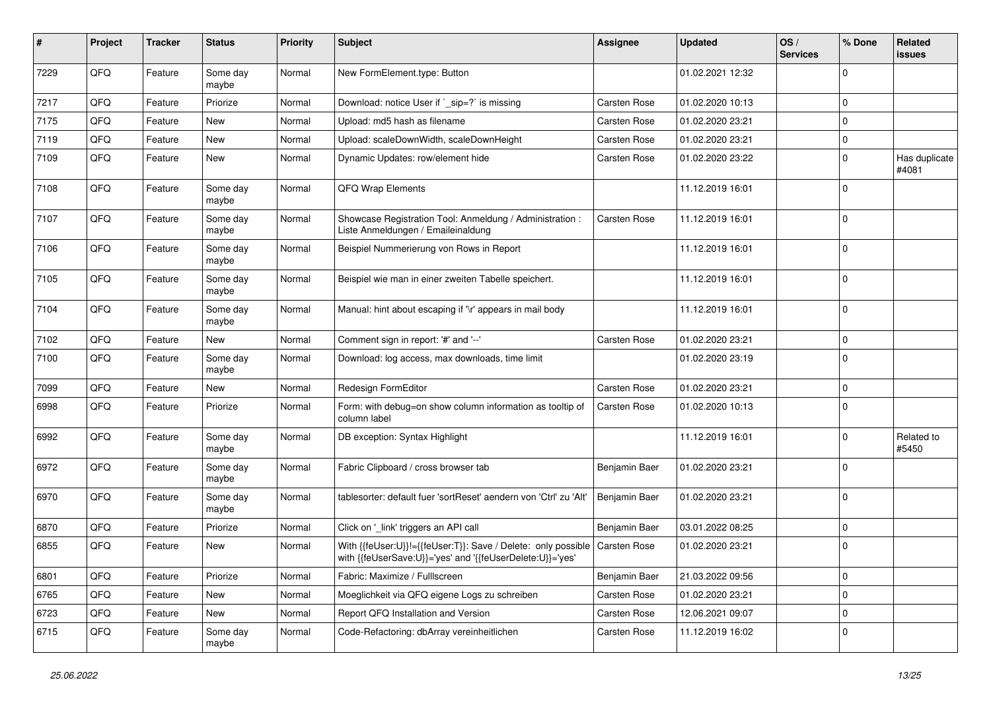| #    | Project | <b>Tracker</b> | <b>Status</b>     | <b>Priority</b> | Subject                                                                                                                    | Assignee      | <b>Updated</b>   | OS/<br><b>Services</b> | % Done      | Related<br>issues      |
|------|---------|----------------|-------------------|-----------------|----------------------------------------------------------------------------------------------------------------------------|---------------|------------------|------------------------|-------------|------------------------|
| 7229 | QFQ     | Feature        | Some day<br>maybe | Normal          | New FormElement.type: Button                                                                                               |               | 01.02.2021 12:32 |                        | $\mathbf 0$ |                        |
| 7217 | QFQ     | Feature        | Priorize          | Normal          | Download: notice User if `_sip=?` is missing                                                                               | Carsten Rose  | 01.02.2020 10:13 |                        | $\mathbf 0$ |                        |
| 7175 | QFQ     | Feature        | New               | Normal          | Upload: md5 hash as filename                                                                                               | Carsten Rose  | 01.02.2020 23:21 |                        | 0           |                        |
| 7119 | QFQ     | Feature        | New               | Normal          | Upload: scaleDownWidth, scaleDownHeight                                                                                    | Carsten Rose  | 01.02.2020 23:21 |                        | $\mathbf 0$ |                        |
| 7109 | QFQ     | Feature        | New               | Normal          | Dynamic Updates: row/element hide                                                                                          | Carsten Rose  | 01.02.2020 23:22 |                        | $\mathbf 0$ | Has duplicate<br>#4081 |
| 7108 | QFQ     | Feature        | Some day<br>maybe | Normal          | QFQ Wrap Elements                                                                                                          |               | 11.12.2019 16:01 |                        | $\Omega$    |                        |
| 7107 | QFQ     | Feature        | Some day<br>maybe | Normal          | Showcase Registration Tool: Anmeldung / Administration :<br>Liste Anmeldungen / Emaileinaldung                             | Carsten Rose  | 11.12.2019 16:01 |                        | $\Omega$    |                        |
| 7106 | QFQ     | Feature        | Some day<br>maybe | Normal          | Beispiel Nummerierung von Rows in Report                                                                                   |               | 11.12.2019 16:01 |                        | 0           |                        |
| 7105 | QFQ     | Feature        | Some day<br>maybe | Normal          | Beispiel wie man in einer zweiten Tabelle speichert.                                                                       |               | 11.12.2019 16:01 |                        | 0           |                        |
| 7104 | QFQ     | Feature        | Some day<br>maybe | Normal          | Manual: hint about escaping if '\r' appears in mail body                                                                   |               | 11.12.2019 16:01 |                        | $\Omega$    |                        |
| 7102 | QFQ     | Feature        | New               | Normal          | Comment sign in report: '#' and '--'                                                                                       | Carsten Rose  | 01.02.2020 23:21 |                        | 0           |                        |
| 7100 | QFQ     | Feature        | Some day<br>maybe | Normal          | Download: log access, max downloads, time limit                                                                            |               | 01.02.2020 23:19 |                        | $\Omega$    |                        |
| 7099 | QFQ     | Feature        | New               | Normal          | Redesign FormEditor                                                                                                        | Carsten Rose  | 01.02.2020 23:21 |                        | 0           |                        |
| 6998 | QFQ     | Feature        | Priorize          | Normal          | Form: with debug=on show column information as tooltip of<br>column label                                                  | Carsten Rose  | 01.02.2020 10:13 |                        | $\Omega$    |                        |
| 6992 | QFQ     | Feature        | Some day<br>maybe | Normal          | DB exception: Syntax Highlight                                                                                             |               | 11.12.2019 16:01 |                        | $\mathbf 0$ | Related to<br>#5450    |
| 6972 | QFQ     | Feature        | Some day<br>maybe | Normal          | Fabric Clipboard / cross browser tab                                                                                       | Benjamin Baer | 01.02.2020 23:21 |                        | $\mathbf 0$ |                        |
| 6970 | QFQ     | Feature        | Some day<br>maybe | Normal          | tablesorter: default fuer 'sortReset' aendern von 'Ctrl' zu 'Alt'                                                          | Benjamin Baer | 01.02.2020 23:21 |                        | $\Omega$    |                        |
| 6870 | QFQ     | Feature        | Priorize          | Normal          | Click on '_link' triggers an API call                                                                                      | Benjamin Baer | 03.01.2022 08:25 |                        | $\Omega$    |                        |
| 6855 | QFQ     | Feature        | New               | Normal          | With {{feUser:U}}!={{feUser:T}}: Save / Delete: only possible<br>with {{feUserSave:U}}='yes' and '{{feUserDelete:U}}='yes' | Carsten Rose  | 01.02.2020 23:21 |                        | $\mathbf 0$ |                        |
| 6801 | QFQ     | Feature        | Priorize          | Normal          | Fabric: Maximize / FullIscreen                                                                                             | Benjamin Baer | 21.03.2022 09:56 |                        | 0           |                        |
| 6765 | QFQ     | Feature        | New               | Normal          | Moeglichkeit via QFQ eigene Logs zu schreiben                                                                              | Carsten Rose  | 01.02.2020 23:21 |                        | 0           |                        |
| 6723 | QFQ     | Feature        | New               | Normal          | Report QFQ Installation and Version                                                                                        | Carsten Rose  | 12.06.2021 09:07 |                        | 0           |                        |
| 6715 | QFQ     | Feature        | Some day<br>maybe | Normal          | Code-Refactoring: dbArray vereinheitlichen                                                                                 | Carsten Rose  | 11.12.2019 16:02 |                        | 0           |                        |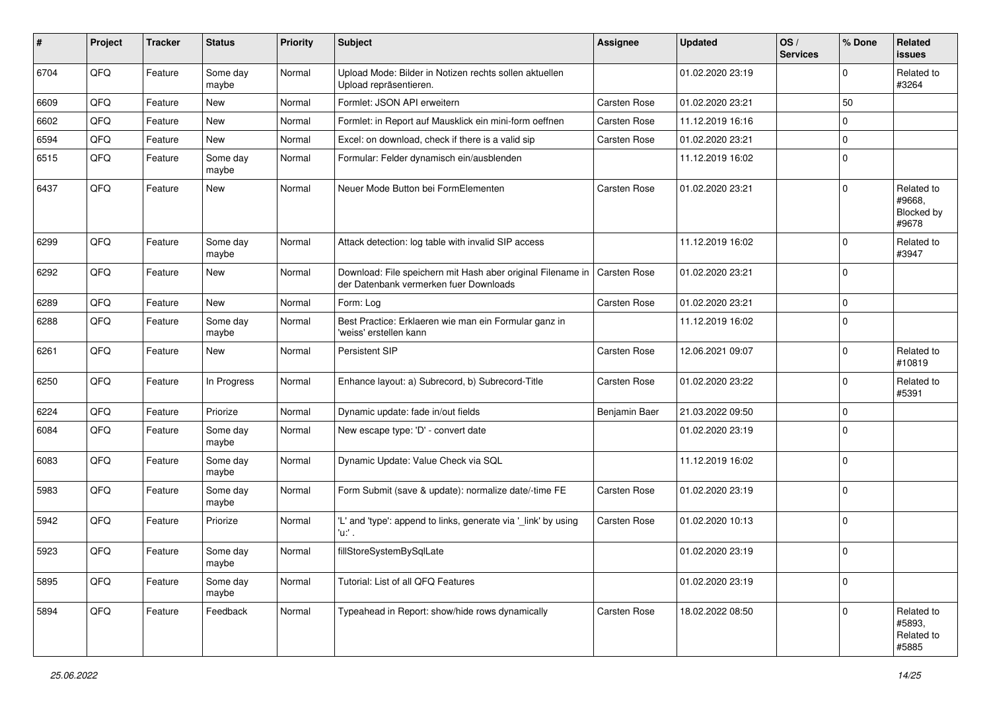| $\sharp$ | Project | <b>Tracker</b> | <b>Status</b>     | <b>Priority</b> | Subject                                                                                               | <b>Assignee</b>     | <b>Updated</b>   | OS/<br><b>Services</b> | % Done      | Related<br>issues                                  |
|----------|---------|----------------|-------------------|-----------------|-------------------------------------------------------------------------------------------------------|---------------------|------------------|------------------------|-------------|----------------------------------------------------|
| 6704     | QFQ     | Feature        | Some day<br>maybe | Normal          | Upload Mode: Bilder in Notizen rechts sollen aktuellen<br>Upload repräsentieren.                      |                     | 01.02.2020 23:19 |                        | $\mathbf 0$ | Related to<br>#3264                                |
| 6609     | QFQ     | Feature        | New               | Normal          | Formlet: JSON API erweitern                                                                           | Carsten Rose        | 01.02.2020 23:21 |                        | 50          |                                                    |
| 6602     | QFQ     | Feature        | New               | Normal          | Formlet: in Report auf Mausklick ein mini-form oeffnen                                                | Carsten Rose        | 11.12.2019 16:16 |                        | $\mathbf 0$ |                                                    |
| 6594     | QFQ     | Feature        | <b>New</b>        | Normal          | Excel: on download, check if there is a valid sip                                                     | Carsten Rose        | 01.02.2020 23:21 |                        | $\mathbf 0$ |                                                    |
| 6515     | QFQ     | Feature        | Some day<br>maybe | Normal          | Formular: Felder dynamisch ein/ausblenden                                                             |                     | 11.12.2019 16:02 |                        | $\mathbf 0$ |                                                    |
| 6437     | QFQ     | Feature        | New               | Normal          | Neuer Mode Button bei FormElementen                                                                   | Carsten Rose        | 01.02.2020 23:21 |                        | $\Omega$    | Related to<br>#9668.<br><b>Blocked by</b><br>#9678 |
| 6299     | QFQ     | Feature        | Some day<br>maybe | Normal          | Attack detection: log table with invalid SIP access                                                   |                     | 11.12.2019 16:02 |                        | $\mathbf 0$ | Related to<br>#3947                                |
| 6292     | QFQ     | Feature        | New               | Normal          | Download: File speichern mit Hash aber original Filename in<br>der Datenbank vermerken fuer Downloads | <b>Carsten Rose</b> | 01.02.2020 23:21 |                        | $\mathbf 0$ |                                                    |
| 6289     | QFQ     | Feature        | <b>New</b>        | Normal          | Form: Log                                                                                             | Carsten Rose        | 01.02.2020 23:21 |                        | $\mathbf 0$ |                                                    |
| 6288     | QFQ     | Feature        | Some day<br>maybe | Normal          | Best Practice: Erklaeren wie man ein Formular ganz in<br>'weiss' erstellen kann                       |                     | 11.12.2019 16:02 |                        | $\mathbf 0$ |                                                    |
| 6261     | QFQ     | Feature        | New               | Normal          | <b>Persistent SIP</b>                                                                                 | Carsten Rose        | 12.06.2021 09:07 |                        | $\mathbf 0$ | Related to<br>#10819                               |
| 6250     | QFQ     | Feature        | In Progress       | Normal          | Enhance layout: a) Subrecord, b) Subrecord-Title                                                      | Carsten Rose        | 01.02.2020 23:22 |                        | $\mathbf 0$ | Related to<br>#5391                                |
| 6224     | QFQ     | Feature        | Priorize          | Normal          | Dynamic update: fade in/out fields                                                                    | Benjamin Baer       | 21.03.2022 09:50 |                        | $\mathbf 0$ |                                                    |
| 6084     | QFQ     | Feature        | Some day<br>maybe | Normal          | New escape type: 'D' - convert date                                                                   |                     | 01.02.2020 23:19 |                        | $\mathbf 0$ |                                                    |
| 6083     | QFQ     | Feature        | Some day<br>maybe | Normal          | Dynamic Update: Value Check via SQL                                                                   |                     | 11.12.2019 16:02 |                        | $\mathbf 0$ |                                                    |
| 5983     | QFQ     | Feature        | Some day<br>maybe | Normal          | Form Submit (save & update): normalize date/-time FE                                                  | Carsten Rose        | 01.02.2020 23:19 |                        | $\mathbf 0$ |                                                    |
| 5942     | QFQ     | Feature        | Priorize          | Normal          | 'L' and 'type': append to links, generate via '_link' by using<br>'u:' .                              | Carsten Rose        | 01.02.2020 10:13 |                        | $\mathbf 0$ |                                                    |
| 5923     | QFQ     | Feature        | Some day<br>maybe | Normal          | fillStoreSystemBySqlLate                                                                              |                     | 01.02.2020 23:19 |                        | $\mathbf 0$ |                                                    |
| 5895     | QFQ     | Feature        | Some day<br>maybe | Normal          | Tutorial: List of all QFQ Features                                                                    |                     | 01.02.2020 23:19 |                        | $\mathbf 0$ |                                                    |
| 5894     | QFQ     | Feature        | Feedback          | Normal          | Typeahead in Report: show/hide rows dynamically                                                       | Carsten Rose        | 18.02.2022 08:50 |                        | $\Omega$    | Related to<br>#5893,<br>Related to<br>#5885        |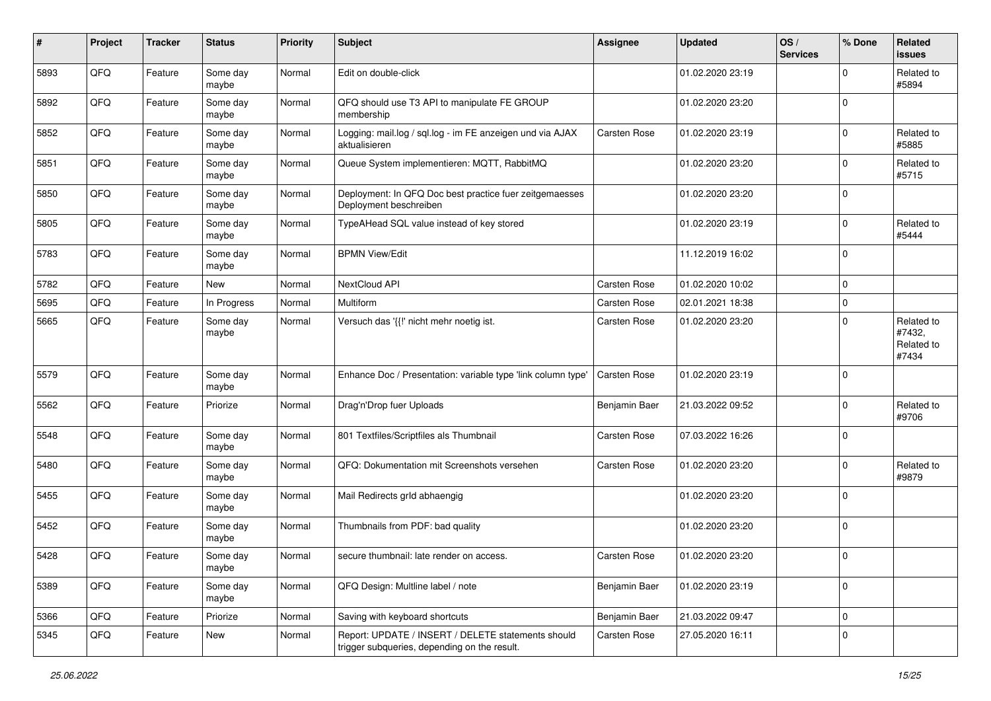| $\#$ | Project | <b>Tracker</b> | <b>Status</b>     | <b>Priority</b> | <b>Subject</b>                                                                                     | <b>Assignee</b> | <b>Updated</b>   | OS/<br><b>Services</b> | % Done      | Related<br><b>issues</b>                    |
|------|---------|----------------|-------------------|-----------------|----------------------------------------------------------------------------------------------------|-----------------|------------------|------------------------|-------------|---------------------------------------------|
| 5893 | QFQ     | Feature        | Some day<br>maybe | Normal          | Edit on double-click                                                                               |                 | 01.02.2020 23:19 |                        | $\mathbf 0$ | Related to<br>#5894                         |
| 5892 | QFQ     | Feature        | Some day<br>maybe | Normal          | QFQ should use T3 API to manipulate FE GROUP<br>membership                                         |                 | 01.02.2020 23:20 |                        | $\mathbf 0$ |                                             |
| 5852 | QFQ     | Feature        | Some day<br>maybe | Normal          | Logging: mail.log / sql.log - im FE anzeigen und via AJAX<br>aktualisieren                         | Carsten Rose    | 01.02.2020 23:19 |                        | $\Omega$    | Related to<br>#5885                         |
| 5851 | QFQ     | Feature        | Some day<br>maybe | Normal          | Queue System implementieren: MQTT, RabbitMQ                                                        |                 | 01.02.2020 23:20 |                        | $\mathbf 0$ | Related to<br>#5715                         |
| 5850 | QFQ     | Feature        | Some day<br>maybe | Normal          | Deployment: In QFQ Doc best practice fuer zeitgemaesses<br>Deployment beschreiben                  |                 | 01.02.2020 23:20 |                        | $\mathbf 0$ |                                             |
| 5805 | QFQ     | Feature        | Some day<br>maybe | Normal          | TypeAHead SQL value instead of key stored                                                          |                 | 01.02.2020 23:19 |                        | $\mathbf 0$ | Related to<br>#5444                         |
| 5783 | QFQ     | Feature        | Some day<br>maybe | Normal          | <b>BPMN View/Edit</b>                                                                              |                 | 11.12.2019 16:02 |                        | $\Omega$    |                                             |
| 5782 | QFQ     | Feature        | New               | Normal          | NextCloud API                                                                                      | Carsten Rose    | 01.02.2020 10:02 |                        | $\mathbf 0$ |                                             |
| 5695 | QFQ     | Feature        | In Progress       | Normal          | Multiform                                                                                          | Carsten Rose    | 02.01.2021 18:38 |                        | $\mathbf 0$ |                                             |
| 5665 | QFQ     | Feature        | Some day<br>maybe | Normal          | Versuch das '{{!' nicht mehr noetig ist.                                                           | Carsten Rose    | 01.02.2020 23:20 |                        | $\Omega$    | Related to<br>#7432,<br>Related to<br>#7434 |
| 5579 | QFQ     | Feature        | Some day<br>maybe | Normal          | Enhance Doc / Presentation: variable type 'link column type'                                       | Carsten Rose    | 01.02.2020 23:19 |                        | $\mathbf 0$ |                                             |
| 5562 | QFQ     | Feature        | Priorize          | Normal          | Drag'n'Drop fuer Uploads                                                                           | Benjamin Baer   | 21.03.2022 09:52 |                        | $\Omega$    | Related to<br>#9706                         |
| 5548 | QFQ     | Feature        | Some day<br>maybe | Normal          | 801 Textfiles/Scriptfiles als Thumbnail                                                            | Carsten Rose    | 07.03.2022 16:26 |                        | $\mathbf 0$ |                                             |
| 5480 | QFQ     | Feature        | Some day<br>maybe | Normal          | QFQ: Dokumentation mit Screenshots versehen                                                        | Carsten Rose    | 01.02.2020 23:20 |                        | $\mathbf 0$ | Related to<br>#9879                         |
| 5455 | QFQ     | Feature        | Some day<br>maybe | Normal          | Mail Redirects grld abhaengig                                                                      |                 | 01.02.2020 23:20 |                        | $\mathbf 0$ |                                             |
| 5452 | QFQ     | Feature        | Some day<br>maybe | Normal          | Thumbnails from PDF: bad quality                                                                   |                 | 01.02.2020 23:20 |                        | $\mathbf 0$ |                                             |
| 5428 | QFQ     | Feature        | Some day<br>maybe | Normal          | secure thumbnail: late render on access.                                                           | Carsten Rose    | 01.02.2020 23:20 |                        | $\mathbf 0$ |                                             |
| 5389 | QFQ     | Feature        | Some day<br>maybe | Normal          | QFQ Design: Multline label / note                                                                  | Benjamin Baer   | 01.02.2020 23:19 |                        | $\mathbf 0$ |                                             |
| 5366 | QFQ     | Feature        | Priorize          | Normal          | Saving with keyboard shortcuts                                                                     | Benjamin Baer   | 21.03.2022 09:47 |                        | $\mathbf 0$ |                                             |
| 5345 | QFQ     | Feature        | New               | Normal          | Report: UPDATE / INSERT / DELETE statements should<br>trigger subqueries, depending on the result. | Carsten Rose    | 27.05.2020 16:11 |                        | 0           |                                             |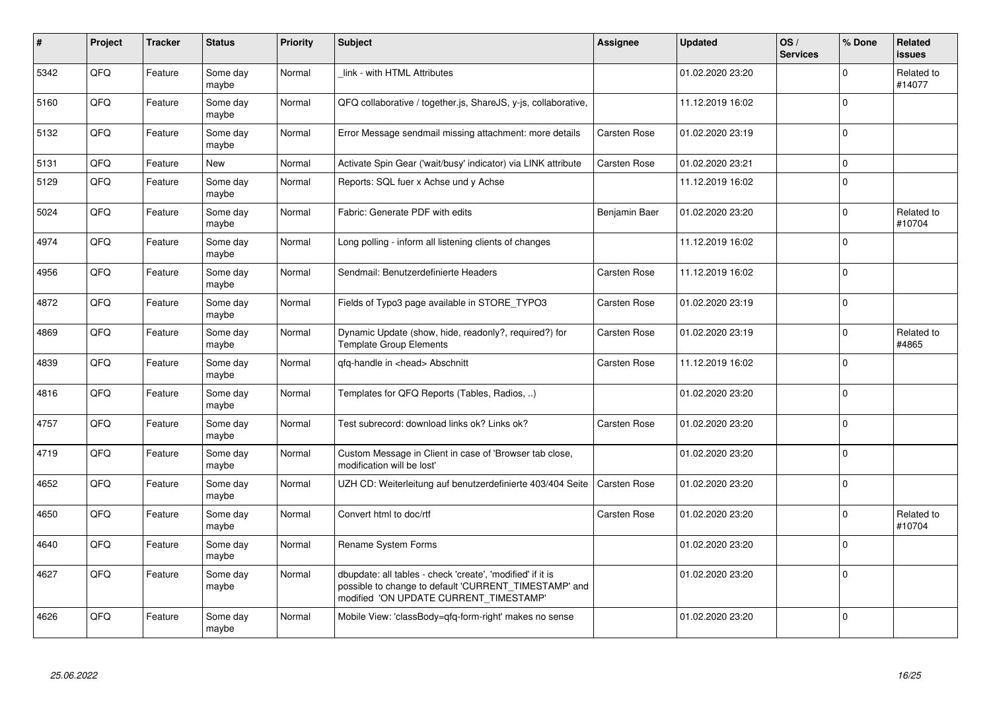| $\pmb{\sharp}$ | Project | <b>Tracker</b> | <b>Status</b>     | <b>Priority</b> | <b>Subject</b>                                                                                                                                                | <b>Assignee</b> | <b>Updated</b>   | OS/<br><b>Services</b> | % Done      | Related<br><b>issues</b> |
|----------------|---------|----------------|-------------------|-----------------|---------------------------------------------------------------------------------------------------------------------------------------------------------------|-----------------|------------------|------------------------|-------------|--------------------------|
| 5342           | QFQ     | Feature        | Some day<br>maybe | Normal          | link - with HTML Attributes                                                                                                                                   |                 | 01.02.2020 23:20 |                        | $\Omega$    | Related to<br>#14077     |
| 5160           | QFQ     | Feature        | Some day<br>maybe | Normal          | QFQ collaborative / together.js, ShareJS, y-js, collaborative,                                                                                                |                 | 11.12.2019 16:02 |                        | $\Omega$    |                          |
| 5132           | QFQ     | Feature        | Some day<br>maybe | Normal          | Error Message sendmail missing attachment: more details                                                                                                       | Carsten Rose    | 01.02.2020 23:19 |                        | $\Omega$    |                          |
| 5131           | QFQ     | Feature        | New               | Normal          | Activate Spin Gear ('wait/busy' indicator) via LINK attribute                                                                                                 | Carsten Rose    | 01.02.2020 23:21 |                        | $\mathbf 0$ |                          |
| 5129           | QFQ     | Feature        | Some day<br>maybe | Normal          | Reports: SQL fuer x Achse und y Achse                                                                                                                         |                 | 11.12.2019 16:02 |                        | $\Omega$    |                          |
| 5024           | QFQ     | Feature        | Some day<br>maybe | Normal          | Fabric: Generate PDF with edits                                                                                                                               | Benjamin Baer   | 01.02.2020 23:20 |                        | $\mathbf 0$ | Related to<br>#10704     |
| 4974           | QFQ     | Feature        | Some day<br>maybe | Normal          | Long polling - inform all listening clients of changes                                                                                                        |                 | 11.12.2019 16:02 |                        | $\Omega$    |                          |
| 4956           | QFQ     | Feature        | Some day<br>maybe | Normal          | Sendmail: Benutzerdefinierte Headers                                                                                                                          | Carsten Rose    | 11.12.2019 16:02 |                        | $\Omega$    |                          |
| 4872           | QFQ     | Feature        | Some day<br>maybe | Normal          | Fields of Typo3 page available in STORE TYPO3                                                                                                                 | Carsten Rose    | 01.02.2020 23:19 |                        | $\mathbf 0$ |                          |
| 4869           | QFQ     | Feature        | Some day<br>maybe | Normal          | Dynamic Update (show, hide, readonly?, required?) for<br><b>Template Group Elements</b>                                                                       | Carsten Rose    | 01.02.2020 23:19 |                        | $\Omega$    | Related to<br>#4865      |
| 4839           | QFQ     | Feature        | Some day<br>maybe | Normal          | gfg-handle in <head> Abschnitt</head>                                                                                                                         | Carsten Rose    | 11.12.2019 16:02 |                        | $\Omega$    |                          |
| 4816           | QFQ     | Feature        | Some day<br>maybe | Normal          | Templates for QFQ Reports (Tables, Radios, )                                                                                                                  |                 | 01.02.2020 23:20 |                        | $\mathbf 0$ |                          |
| 4757           | QFQ     | Feature        | Some day<br>maybe | Normal          | Test subrecord: download links ok? Links ok?                                                                                                                  | Carsten Rose    | 01.02.2020 23:20 |                        | $\Omega$    |                          |
| 4719           | QFQ     | Feature        | Some day<br>maybe | Normal          | Custom Message in Client in case of 'Browser tab close,<br>modification will be lost'                                                                         |                 | 01.02.2020 23:20 |                        | $\Omega$    |                          |
| 4652           | QFQ     | Feature        | Some day<br>maybe | Normal          | UZH CD: Weiterleitung auf benutzerdefinierte 403/404 Seite                                                                                                    | Carsten Rose    | 01.02.2020 23:20 |                        | $\mathbf 0$ |                          |
| 4650           | QFQ     | Feature        | Some day<br>maybe | Normal          | Convert html to doc/rtf                                                                                                                                       | Carsten Rose    | 01.02.2020 23:20 |                        | $\mathbf 0$ | Related to<br>#10704     |
| 4640           | QFQ     | Feature        | Some day<br>maybe | Normal          | Rename System Forms                                                                                                                                           |                 | 01.02.2020 23:20 |                        | $\mathbf 0$ |                          |
| 4627           | QFQ     | Feature        | Some day<br>maybe | Normal          | dbupdate: all tables - check 'create', 'modified' if it is<br>possible to change to default 'CURRENT_TIMESTAMP' and<br>modified 'ON UPDATE CURRENT_TIMESTAMP' |                 | 01.02.2020 23:20 |                        | $\Omega$    |                          |
| 4626           | QFQ     | Feature        | Some day<br>maybe | Normal          | Mobile View: 'classBody=qfq-form-right' makes no sense                                                                                                        |                 | 01.02.2020 23:20 |                        | $\Omega$    |                          |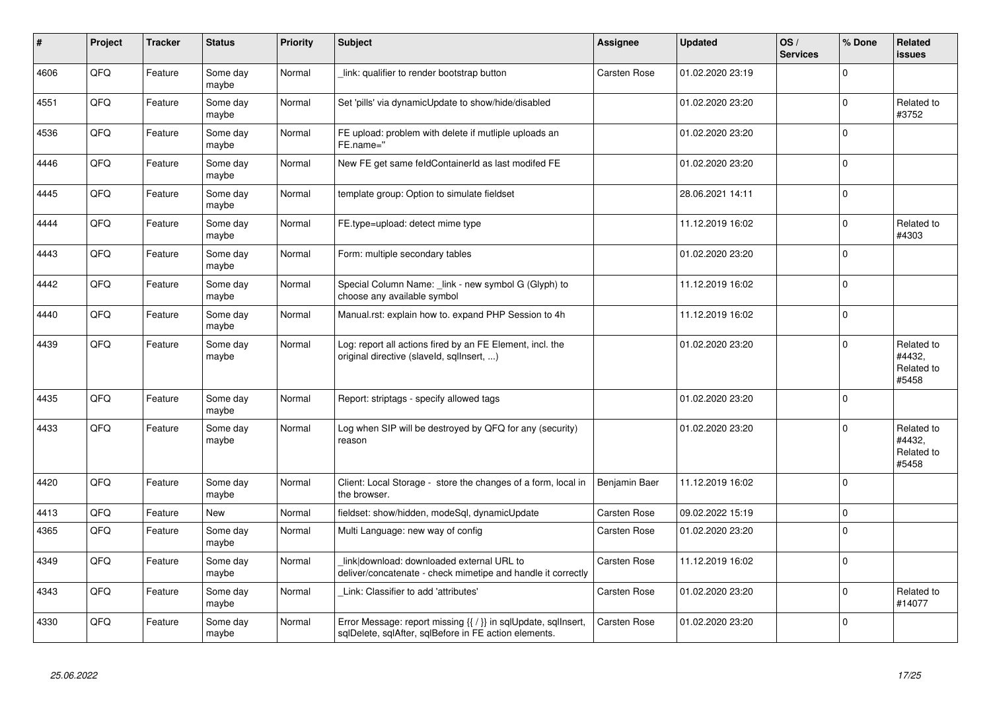| #    | Project | <b>Tracker</b> | <b>Status</b>     | <b>Priority</b> | <b>Subject</b>                                                                                                                     | <b>Assignee</b> | <b>Updated</b>   | OS/<br><b>Services</b> | % Done      | Related<br>issues                           |
|------|---------|----------------|-------------------|-----------------|------------------------------------------------------------------------------------------------------------------------------------|-----------------|------------------|------------------------|-------------|---------------------------------------------|
| 4606 | QFQ     | Feature        | Some day<br>maybe | Normal          | link: qualifier to render bootstrap button                                                                                         | Carsten Rose    | 01.02.2020 23:19 |                        | $\Omega$    |                                             |
| 4551 | QFQ     | Feature        | Some day<br>maybe | Normal          | Set 'pills' via dynamicUpdate to show/hide/disabled                                                                                |                 | 01.02.2020 23:20 |                        | 0           | Related to<br>#3752                         |
| 4536 | QFQ     | Feature        | Some day<br>maybe | Normal          | FE upload: problem with delete if mutliple uploads an<br>FE.name="                                                                 |                 | 01.02.2020 23:20 |                        | $\Omega$    |                                             |
| 4446 | QFQ     | Feature        | Some day<br>maybe | Normal          | New FE get same feldContainerId as last modifed FE                                                                                 |                 | 01.02.2020 23:20 |                        | $\Omega$    |                                             |
| 4445 | QFQ     | Feature        | Some day<br>maybe | Normal          | template group: Option to simulate fieldset                                                                                        |                 | 28.06.2021 14:11 |                        | $\mathbf 0$ |                                             |
| 4444 | QFQ     | Feature        | Some day<br>maybe | Normal          | FE.type=upload: detect mime type                                                                                                   |                 | 11.12.2019 16:02 |                        | $\pmb{0}$   | Related to<br>#4303                         |
| 4443 | QFQ     | Feature        | Some day<br>maybe | Normal          | Form: multiple secondary tables                                                                                                    |                 | 01.02.2020 23:20 |                        | $\mathbf 0$ |                                             |
| 4442 | QFQ     | Feature        | Some day<br>maybe | Normal          | Special Column Name: link - new symbol G (Glyph) to<br>choose any available symbol                                                 |                 | 11.12.2019 16:02 |                        | $\Omega$    |                                             |
| 4440 | QFQ     | Feature        | Some day<br>maybe | Normal          | Manual.rst: explain how to. expand PHP Session to 4h                                                                               |                 | 11.12.2019 16:02 |                        | 0           |                                             |
| 4439 | QFQ     | Feature        | Some day<br>maybe | Normal          | Log: report all actions fired by an FE Element, incl. the<br>original directive (slaveld, sqlInsert, )                             |                 | 01.02.2020 23:20 |                        | 0           | Related to<br>#4432,<br>Related to<br>#5458 |
| 4435 | QFQ     | Feature        | Some day<br>maybe | Normal          | Report: striptags - specify allowed tags                                                                                           |                 | 01.02.2020 23:20 |                        | $\Omega$    |                                             |
| 4433 | QFQ     | Feature        | Some day<br>maybe | Normal          | Log when SIP will be destroyed by QFQ for any (security)<br>reason                                                                 |                 | 01.02.2020 23:20 |                        | 0           | Related to<br>#4432,<br>Related to<br>#5458 |
| 4420 | QFQ     | Feature        | Some day<br>maybe | Normal          | Client: Local Storage - store the changes of a form, local in<br>the browser.                                                      | Benjamin Baer   | 11.12.2019 16:02 |                        | $\Omega$    |                                             |
| 4413 | QFQ     | Feature        | <b>New</b>        | Normal          | fieldset: show/hidden, modeSql, dynamicUpdate                                                                                      | Carsten Rose    | 09.02.2022 15:19 |                        | $\Omega$    |                                             |
| 4365 | QFQ     | Feature        | Some day<br>maybe | Normal          | Multi Language: new way of config                                                                                                  | Carsten Rose    | 01.02.2020 23:20 |                        | $\Omega$    |                                             |
| 4349 | QFQ     | Feature        | Some day<br>maybe | Normal          | link download: downloaded external URL to<br>deliver/concatenate - check mimetipe and handle it correctly                          | Carsten Rose    | 11.12.2019 16:02 |                        | $\Omega$    |                                             |
| 4343 | QFQ     | Feature        | Some day<br>maybe | Normal          | Link: Classifier to add 'attributes'                                                                                               | Carsten Rose    | 01.02.2020 23:20 |                        | $\pmb{0}$   | Related to<br>#14077                        |
| 4330 | QFQ     | Feature        | Some day<br>maybe | Normal          | Error Message: report missing $\{\{\ \right\}\}$ in sqlUpdate, sqlInsert,<br>sqlDelete, sqlAfter, sqlBefore in FE action elements. | Carsten Rose    | 01.02.2020 23:20 |                        | $\Omega$    |                                             |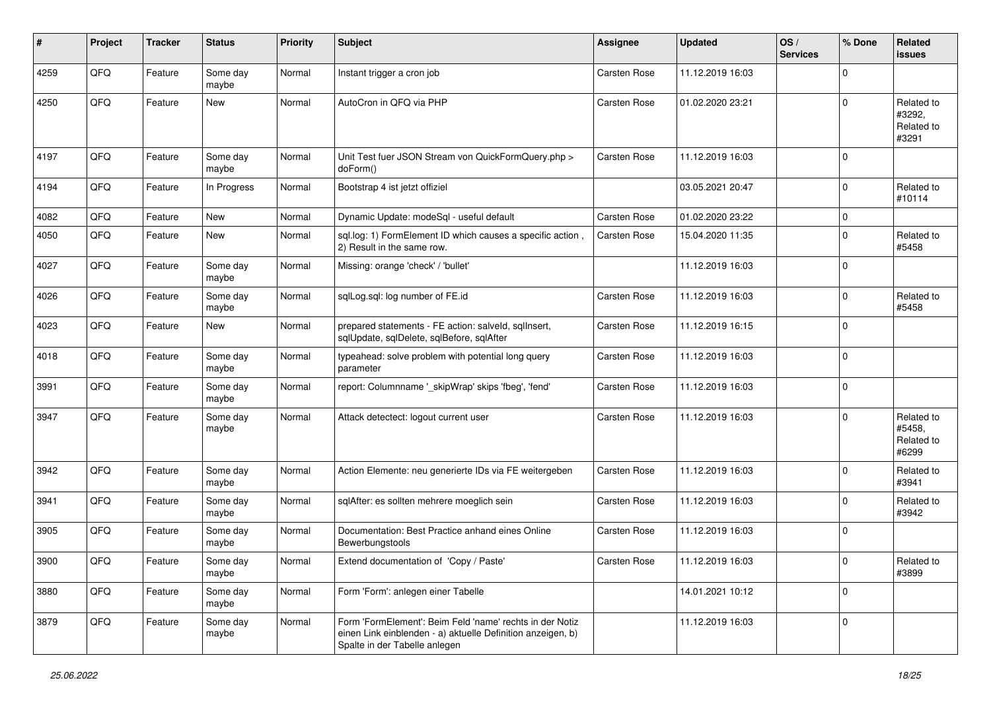| ∦    | Project | <b>Tracker</b> | <b>Status</b>     | <b>Priority</b> | <b>Subject</b>                                                                                                                                           | Assignee     | <b>Updated</b>   | OS/<br><b>Services</b> | % Done      | Related<br>issues                           |
|------|---------|----------------|-------------------|-----------------|----------------------------------------------------------------------------------------------------------------------------------------------------------|--------------|------------------|------------------------|-------------|---------------------------------------------|
| 4259 | QFQ     | Feature        | Some day<br>maybe | Normal          | Instant trigger a cron job                                                                                                                               | Carsten Rose | 11.12.2019 16:03 |                        | $\mathbf 0$ |                                             |
| 4250 | QFQ     | Feature        | New               | Normal          | AutoCron in QFQ via PHP                                                                                                                                  | Carsten Rose | 01.02.2020 23:21 |                        | $\Omega$    | Related to<br>#3292,<br>Related to<br>#3291 |
| 4197 | QFQ     | Feature        | Some day<br>maybe | Normal          | Unit Test fuer JSON Stream von QuickFormQuery.php ><br>doForm()                                                                                          | Carsten Rose | 11.12.2019 16:03 |                        | $\Omega$    |                                             |
| 4194 | QFQ     | Feature        | In Progress       | Normal          | Bootstrap 4 ist jetzt offiziel                                                                                                                           |              | 03.05.2021 20:47 |                        | $\Omega$    | Related to<br>#10114                        |
| 4082 | QFQ     | Feature        | New               | Normal          | Dynamic Update: modeSql - useful default                                                                                                                 | Carsten Rose | 01.02.2020 23:22 |                        | $\Omega$    |                                             |
| 4050 | QFQ     | Feature        | New               | Normal          | sql.log: 1) FormElement ID which causes a specific action,<br>2) Result in the same row.                                                                 | Carsten Rose | 15.04.2020 11:35 |                        | $\Omega$    | Related to<br>#5458                         |
| 4027 | QFQ     | Feature        | Some day<br>maybe | Normal          | Missing: orange 'check' / 'bullet'                                                                                                                       |              | 11.12.2019 16:03 |                        | $\Omega$    |                                             |
| 4026 | QFQ     | Feature        | Some day<br>maybe | Normal          | sqlLog.sql: log number of FE.id                                                                                                                          | Carsten Rose | 11.12.2019 16:03 |                        | $\Omega$    | Related to<br>#5458                         |
| 4023 | QFQ     | Feature        | New               | Normal          | prepared statements - FE action: salveld, sqlInsert,<br>sqlUpdate, sqlDelete, sqlBefore, sqlAfter                                                        | Carsten Rose | 11.12.2019 16:15 |                        | $\Omega$    |                                             |
| 4018 | QFQ     | Feature        | Some day<br>maybe | Normal          | typeahead: solve problem with potential long query<br>parameter                                                                                          | Carsten Rose | 11.12.2019 16:03 |                        | $\Omega$    |                                             |
| 3991 | QFQ     | Feature        | Some day<br>maybe | Normal          | report: Columnname '_skipWrap' skips 'fbeg', 'fend'                                                                                                      | Carsten Rose | 11.12.2019 16:03 |                        | $\mathbf 0$ |                                             |
| 3947 | QFQ     | Feature        | Some day<br>maybe | Normal          | Attack detectect: logout current user                                                                                                                    | Carsten Rose | 11.12.2019 16:03 |                        | $\Omega$    | Related to<br>#5458,<br>Related to<br>#6299 |
| 3942 | QFQ     | Feature        | Some day<br>maybe | Normal          | Action Elemente: neu generierte IDs via FE weitergeben                                                                                                   | Carsten Rose | 11.12.2019 16:03 |                        | $\Omega$    | Related to<br>#3941                         |
| 3941 | QFQ     | Feature        | Some day<br>maybe | Normal          | sqlAfter: es sollten mehrere moeglich sein                                                                                                               | Carsten Rose | 11.12.2019 16:03 |                        | $\Omega$    | Related to<br>#3942                         |
| 3905 | QFQ     | Feature        | Some day<br>maybe | Normal          | Documentation: Best Practice anhand eines Online<br>Bewerbungstools                                                                                      | Carsten Rose | 11.12.2019 16:03 |                        | $\Omega$    |                                             |
| 3900 | QFQ     | Feature        | Some day<br>maybe | Normal          | Extend documentation of 'Copy / Paste'                                                                                                                   | Carsten Rose | 11.12.2019 16:03 |                        | $\mathsf 0$ | Related to<br>#3899                         |
| 3880 | QFQ     | Feature        | Some day<br>maybe | Normal          | Form 'Form': anlegen einer Tabelle                                                                                                                       |              | 14.01.2021 10:12 |                        | $\pmb{0}$   |                                             |
| 3879 | QFQ     | Feature        | Some day<br>maybe | Normal          | Form 'FormElement': Beim Feld 'name' rechts in der Notiz<br>einen Link einblenden - a) aktuelle Definition anzeigen, b)<br>Spalte in der Tabelle anlegen |              | 11.12.2019 16:03 |                        | 0           |                                             |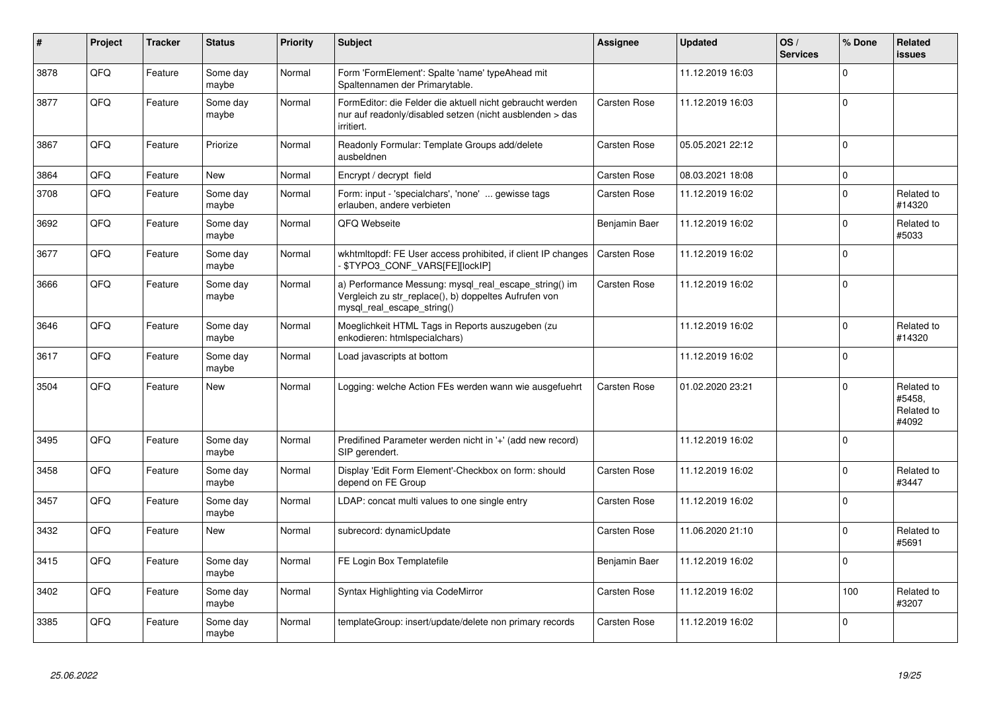| #    | Project | <b>Tracker</b> | <b>Status</b>     | <b>Priority</b> | <b>Subject</b>                                                                                                                               | <b>Assignee</b>     | <b>Updated</b>   | OS/<br><b>Services</b> | % Done      | Related<br><b>issues</b>                    |
|------|---------|----------------|-------------------|-----------------|----------------------------------------------------------------------------------------------------------------------------------------------|---------------------|------------------|------------------------|-------------|---------------------------------------------|
| 3878 | QFQ     | Feature        | Some day<br>maybe | Normal          | Form 'FormElement': Spalte 'name' typeAhead mit<br>Spaltennamen der Primarytable.                                                            |                     | 11.12.2019 16:03 |                        | $\Omega$    |                                             |
| 3877 | QFQ     | Feature        | Some day<br>maybe | Normal          | FormEditor: die Felder die aktuell nicht gebraucht werden<br>nur auf readonly/disabled setzen (nicht ausblenden > das<br>irritiert.          | Carsten Rose        | 11.12.2019 16:03 |                        | $\Omega$    |                                             |
| 3867 | QFQ     | Feature        | Priorize          | Normal          | Readonly Formular: Template Groups add/delete<br>ausbeldnen                                                                                  | Carsten Rose        | 05.05.2021 22:12 |                        | $\Omega$    |                                             |
| 3864 | QFQ     | Feature        | New               | Normal          | Encrypt / decrypt field                                                                                                                      | Carsten Rose        | 08.03.2021 18:08 |                        | $\pmb{0}$   |                                             |
| 3708 | QFQ     | Feature        | Some day<br>maybe | Normal          | Form: input - 'specialchars', 'none'  gewisse tags<br>erlauben, andere verbieten                                                             | Carsten Rose        | 11.12.2019 16:02 |                        | $\Omega$    | Related to<br>#14320                        |
| 3692 | QFQ     | Feature        | Some day<br>maybe | Normal          | QFQ Webseite                                                                                                                                 | Benjamin Baer       | 11.12.2019 16:02 |                        | $\Omega$    | Related to<br>#5033                         |
| 3677 | QFQ     | Feature        | Some day<br>maybe | Normal          | wkhtmltopdf: FE User access prohibited, if client IP changes<br><b>\$TYPO3_CONF_VARS[FE][lockIP]</b>                                         | Carsten Rose        | 11.12.2019 16:02 |                        | $\Omega$    |                                             |
| 3666 | QFQ     | Feature        | Some day<br>maybe | Normal          | a) Performance Messung: mysql_real_escape_string() im<br>Vergleich zu str_replace(), b) doppeltes Aufrufen von<br>mysql real escape string() | Carsten Rose        | 11.12.2019 16:02 |                        | $\mathbf 0$ |                                             |
| 3646 | QFQ     | Feature        | Some day<br>maybe | Normal          | Moeglichkeit HTML Tags in Reports auszugeben (zu<br>enkodieren: htmlspecialchars)                                                            |                     | 11.12.2019 16:02 |                        | $\mathbf 0$ | Related to<br>#14320                        |
| 3617 | QFQ     | Feature        | Some day<br>maybe | Normal          | Load javascripts at bottom                                                                                                                   |                     | 11.12.2019 16:02 |                        | $\mathbf 0$ |                                             |
| 3504 | QFQ     | Feature        | <b>New</b>        | Normal          | Logging: welche Action FEs werden wann wie ausgefuehrt                                                                                       | <b>Carsten Rose</b> | 01.02.2020 23:21 |                        | $\Omega$    | Related to<br>#5458,<br>Related to<br>#4092 |
| 3495 | QFQ     | Feature        | Some day<br>maybe | Normal          | Predifined Parameter werden nicht in '+' (add new record)<br>SIP gerendert.                                                                  |                     | 11.12.2019 16:02 |                        | $\Omega$    |                                             |
| 3458 | QFQ     | Feature        | Some day<br>maybe | Normal          | Display 'Edit Form Element'-Checkbox on form: should<br>depend on FE Group                                                                   | Carsten Rose        | 11.12.2019 16:02 |                        | $\mathbf 0$ | Related to<br>#3447                         |
| 3457 | QFQ     | Feature        | Some day<br>maybe | Normal          | LDAP: concat multi values to one single entry                                                                                                | <b>Carsten Rose</b> | 11.12.2019 16:02 |                        | $\mathbf 0$ |                                             |
| 3432 | QFQ     | Feature        | <b>New</b>        | Normal          | subrecord: dynamicUpdate                                                                                                                     | Carsten Rose        | 11.06.2020 21:10 |                        | $\Omega$    | Related to<br>#5691                         |
| 3415 | QFQ     | Feature        | Some day<br>maybe | Normal          | FE Login Box Templatefile                                                                                                                    | Benjamin Baer       | 11.12.2019 16:02 |                        | $\Omega$    |                                             |
| 3402 | QFQ     | Feature        | Some day<br>maybe | Normal          | Syntax Highlighting via CodeMirror                                                                                                           | Carsten Rose        | 11.12.2019 16:02 |                        | 100         | Related to<br>#3207                         |
| 3385 | QFQ     | Feature        | Some day<br>maybe | Normal          | templateGroup: insert/update/delete non primary records                                                                                      | Carsten Rose        | 11.12.2019 16:02 |                        | $\Omega$    |                                             |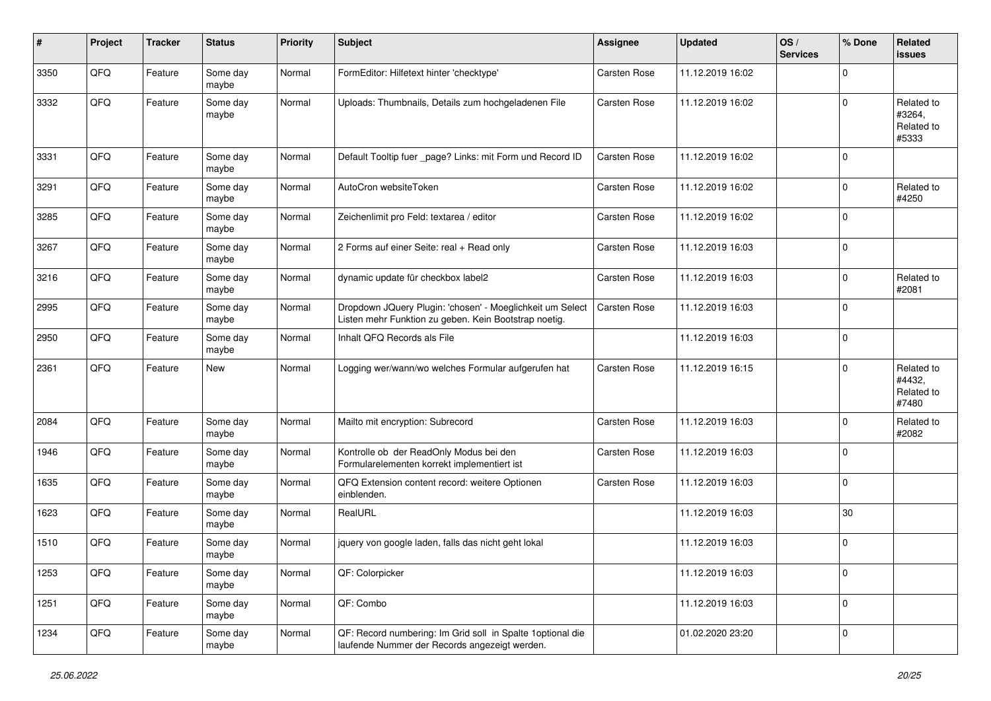| $\sharp$ | Project | <b>Tracker</b> | <b>Status</b>     | <b>Priority</b> | <b>Subject</b>                                                                                                     | <b>Assignee</b> | <b>Updated</b>   | OS/<br><b>Services</b> | % Done      | Related<br><b>issues</b>                    |
|----------|---------|----------------|-------------------|-----------------|--------------------------------------------------------------------------------------------------------------------|-----------------|------------------|------------------------|-------------|---------------------------------------------|
| 3350     | QFQ     | Feature        | Some day<br>maybe | Normal          | FormEditor: Hilfetext hinter 'checktype'                                                                           | Carsten Rose    | 11.12.2019 16:02 |                        | $\Omega$    |                                             |
| 3332     | QFQ     | Feature        | Some day<br>maybe | Normal          | Uploads: Thumbnails, Details zum hochgeladenen File                                                                | Carsten Rose    | 11.12.2019 16:02 |                        | $\mathbf 0$ | Related to<br>#3264,<br>Related to<br>#5333 |
| 3331     | QFQ     | Feature        | Some day<br>maybe | Normal          | Default Tooltip fuer _page? Links: mit Form und Record ID                                                          | Carsten Rose    | 11.12.2019 16:02 |                        | $\mathbf 0$ |                                             |
| 3291     | QFQ     | Feature        | Some day<br>maybe | Normal          | AutoCron websiteToken                                                                                              | Carsten Rose    | 11.12.2019 16:02 |                        | $\mathbf 0$ | Related to<br>#4250                         |
| 3285     | QFQ     | Feature        | Some day<br>maybe | Normal          | Zeichenlimit pro Feld: textarea / editor                                                                           | Carsten Rose    | 11.12.2019 16:02 |                        | $\mathbf 0$ |                                             |
| 3267     | QFQ     | Feature        | Some day<br>maybe | Normal          | 2 Forms auf einer Seite: real + Read only                                                                          | Carsten Rose    | 11.12.2019 16:03 |                        | $\mathbf 0$ |                                             |
| 3216     | QFQ     | Feature        | Some day<br>maybe | Normal          | dynamic update für checkbox label2                                                                                 | Carsten Rose    | 11.12.2019 16:03 |                        | $\mathbf 0$ | Related to<br>#2081                         |
| 2995     | QFQ     | Feature        | Some day<br>maybe | Normal          | Dropdown JQuery Plugin: 'chosen' - Moeglichkeit um Select<br>Listen mehr Funktion zu geben. Kein Bootstrap noetig. | Carsten Rose    | 11.12.2019 16:03 |                        | $\mathbf 0$ |                                             |
| 2950     | QFQ     | Feature        | Some day<br>maybe | Normal          | Inhalt QFQ Records als File                                                                                        |                 | 11.12.2019 16:03 |                        | $\mathbf 0$ |                                             |
| 2361     | QFQ     | Feature        | New               | Normal          | Logging wer/wann/wo welches Formular aufgerufen hat                                                                | Carsten Rose    | 11.12.2019 16:15 |                        | $\mathbf 0$ | Related to<br>#4432,<br>Related to<br>#7480 |
| 2084     | QFQ     | Feature        | Some day<br>maybe | Normal          | Mailto mit encryption: Subrecord                                                                                   | Carsten Rose    | 11.12.2019 16:03 |                        | $\Omega$    | Related to<br>#2082                         |
| 1946     | QFQ     | Feature        | Some day<br>maybe | Normal          | Kontrolle ob der ReadOnly Modus bei den<br>Formularelementen korrekt implementiert ist                             | Carsten Rose    | 11.12.2019 16:03 |                        | $\mathbf 0$ |                                             |
| 1635     | QFQ     | Feature        | Some day<br>maybe | Normal          | QFQ Extension content record: weitere Optionen<br>einblenden.                                                      | Carsten Rose    | 11.12.2019 16:03 |                        | $\mathbf 0$ |                                             |
| 1623     | QFQ     | Feature        | Some day<br>maybe | Normal          | RealURL                                                                                                            |                 | 11.12.2019 16:03 |                        | 30          |                                             |
| 1510     | QFQ     | Feature        | Some day<br>maybe | Normal          | jquery von google laden, falls das nicht geht lokal                                                                |                 | 11.12.2019 16:03 |                        | $\mathbf 0$ |                                             |
| 1253     | QFQ     | Feature        | Some day<br>maybe | Normal          | QF: Colorpicker                                                                                                    |                 | 11.12.2019 16:03 |                        | 0           |                                             |
| 1251     | QFQ     | Feature        | Some day<br>maybe | Normal          | QF: Combo                                                                                                          |                 | 11.12.2019 16:03 |                        | $\mathsf 0$ |                                             |
| 1234     | QFQ     | Feature        | Some day<br>maybe | Normal          | QF: Record numbering: Im Grid soll in Spalte 1 optional die<br>laufende Nummer der Records angezeigt werden.       |                 | 01.02.2020 23:20 |                        | $\mathbf 0$ |                                             |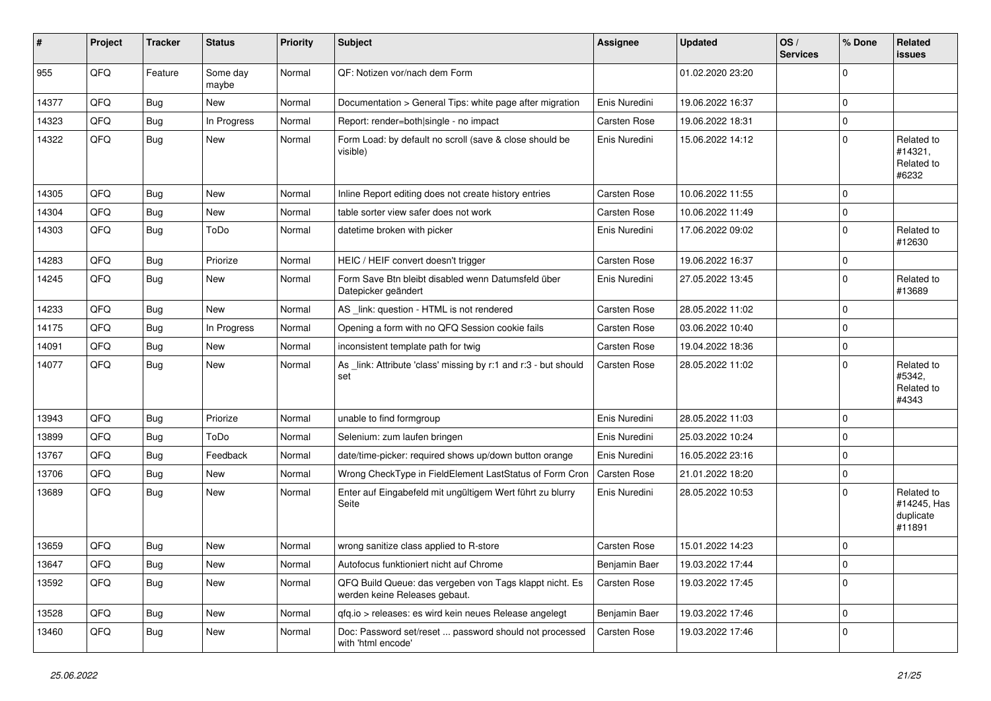| #     | Project | <b>Tracker</b> | <b>Status</b>     | <b>Priority</b> | <b>Subject</b>                                                                           | <b>Assignee</b> | <b>Updated</b>   | OS/<br><b>Services</b> | % Done      | <b>Related</b><br>issues                         |
|-------|---------|----------------|-------------------|-----------------|------------------------------------------------------------------------------------------|-----------------|------------------|------------------------|-------------|--------------------------------------------------|
| 955   | QFQ     | Feature        | Some day<br>maybe | Normal          | QF: Notizen vor/nach dem Form                                                            |                 | 01.02.2020 23:20 |                        | $\Omega$    |                                                  |
| 14377 | QFQ     | <b>Bug</b>     | New               | Normal          | Documentation > General Tips: white page after migration                                 | Enis Nuredini   | 19.06.2022 16:37 |                        | 0           |                                                  |
| 14323 | QFQ     | <b>Bug</b>     | In Progress       | Normal          | Report: render=both single - no impact                                                   | Carsten Rose    | 19.06.2022 18:31 |                        | 0           |                                                  |
| 14322 | QFQ     | Bug            | <b>New</b>        | Normal          | Form Load: by default no scroll (save & close should be<br>visible)                      | Enis Nuredini   | 15.06.2022 14:12 |                        | 0           | Related to<br>#14321,<br>Related to<br>#6232     |
| 14305 | QFQ     | Bug            | New               | Normal          | Inline Report editing does not create history entries                                    | Carsten Rose    | 10.06.2022 11:55 |                        | 0           |                                                  |
| 14304 | QFQ     | <b>Bug</b>     | <b>New</b>        | Normal          | table sorter view safer does not work                                                    | Carsten Rose    | 10.06.2022 11:49 |                        | 0           |                                                  |
| 14303 | QFQ     | <b>Bug</b>     | ToDo              | Normal          | datetime broken with picker                                                              | Enis Nuredini   | 17.06.2022 09:02 |                        | $\Omega$    | Related to<br>#12630                             |
| 14283 | QFQ     | <b>Bug</b>     | Priorize          | Normal          | HEIC / HEIF convert doesn't trigger                                                      | Carsten Rose    | 19.06.2022 16:37 |                        | 0           |                                                  |
| 14245 | QFQ     | Bug            | <b>New</b>        | Normal          | Form Save Btn bleibt disabled wenn Datumsfeld über<br>Datepicker geändert                | Enis Nuredini   | 27.05.2022 13:45 |                        | $\Omega$    | Related to<br>#13689                             |
| 14233 | QFQ     | <b>Bug</b>     | New               | Normal          | AS _link: question - HTML is not rendered                                                | Carsten Rose    | 28.05.2022 11:02 |                        | 0           |                                                  |
| 14175 | QFQ     | <b>Bug</b>     | In Progress       | Normal          | Opening a form with no QFQ Session cookie fails                                          | Carsten Rose    | 03.06.2022 10:40 |                        | 0           |                                                  |
| 14091 | QFQ     | Bug            | <b>New</b>        | Normal          | inconsistent template path for twig                                                      | Carsten Rose    | 19.04.2022 18:36 |                        | 0           |                                                  |
| 14077 | QFQ     | Bug            | <b>New</b>        | Normal          | As link: Attribute 'class' missing by r:1 and r:3 - but should<br>set                    | Carsten Rose    | 28.05.2022 11:02 |                        | 0           | Related to<br>#5342,<br>Related to<br>#4343      |
| 13943 | QFQ     | <b>Bug</b>     | Priorize          | Normal          | unable to find formgroup                                                                 | Enis Nuredini   | 28.05.2022 11:03 |                        | $\mathbf 0$ |                                                  |
| 13899 | QFQ     | <b>Bug</b>     | ToDo              | Normal          | Selenium: zum laufen bringen                                                             | Enis Nuredini   | 25.03.2022 10:24 |                        | 0           |                                                  |
| 13767 | QFQ     | <b>Bug</b>     | Feedback          | Normal          | date/time-picker: required shows up/down button orange                                   | Enis Nuredini   | 16.05.2022 23:16 |                        | $\mathbf 0$ |                                                  |
| 13706 | QFQ     | <b>Bug</b>     | New               | Normal          | Wrong CheckType in FieldElement LastStatus of Form Cron                                  | Carsten Rose    | 21.01.2022 18:20 |                        | 0           |                                                  |
| 13689 | QFQ     | Bug            | <b>New</b>        | Normal          | Enter auf Eingabefeld mit ungültigem Wert führt zu blurry<br>Seite                       | Enis Nuredini   | 28.05.2022 10:53 |                        | 0           | Related to<br>#14245, Has<br>duplicate<br>#11891 |
| 13659 | QFQ     | <b>Bug</b>     | <b>New</b>        | Normal          | wrong sanitize class applied to R-store                                                  | Carsten Rose    | 15.01.2022 14:23 |                        | $\mathbf 0$ |                                                  |
| 13647 | QFQ     | Bug            | New               | Normal          | Autofocus funktioniert nicht auf Chrome                                                  | Benjamin Baer   | 19.03.2022 17:44 |                        | 0           |                                                  |
| 13592 | QFQ     | Bug            | New               | Normal          | QFQ Build Queue: das vergeben von Tags klappt nicht. Es<br>werden keine Releases gebaut. | Carsten Rose    | 19.03.2022 17:45 |                        | 0           |                                                  |
| 13528 | QFQ     | Bug            | New               | Normal          | qfq.io > releases: es wird kein neues Release angelegt                                   | Benjamin Baer   | 19.03.2022 17:46 |                        | 0           |                                                  |
| 13460 | QFQ     | <b>Bug</b>     | New               | Normal          | Doc: Password set/reset  password should not processed<br>with 'html encode'             | Carsten Rose    | 19.03.2022 17:46 |                        | 0           |                                                  |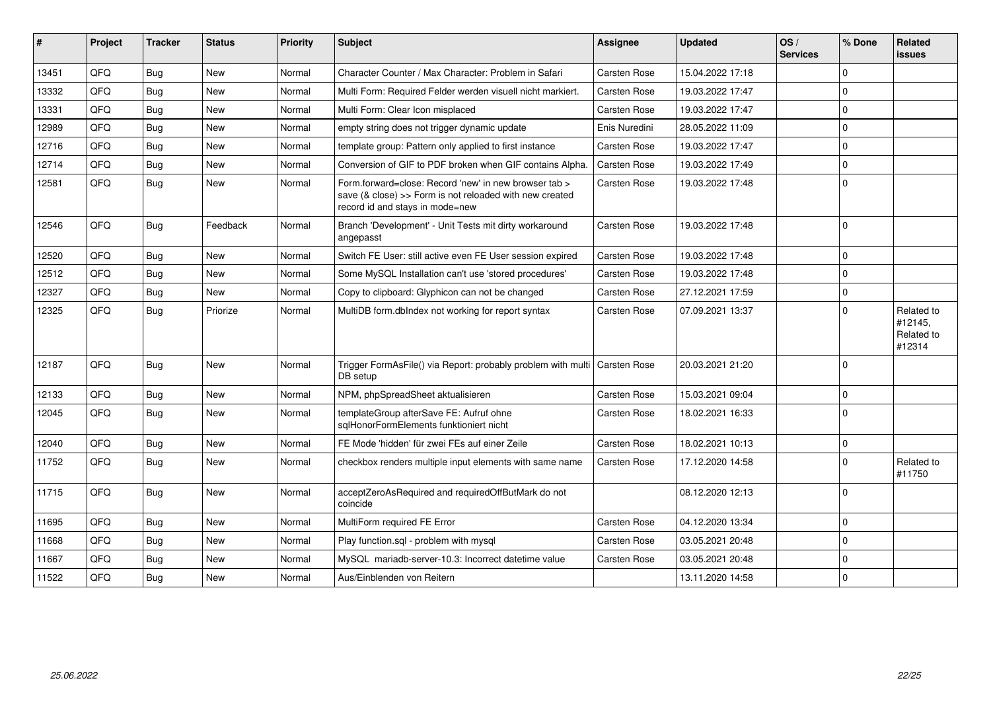| #     | Project | <b>Tracker</b> | <b>Status</b> | Priority | <b>Subject</b>                                                                                                                                      | <b>Assignee</b>     | <b>Updated</b>   | OS/<br><b>Services</b> | % Done      | Related<br><b>issues</b>                      |
|-------|---------|----------------|---------------|----------|-----------------------------------------------------------------------------------------------------------------------------------------------------|---------------------|------------------|------------------------|-------------|-----------------------------------------------|
| 13451 | QFQ     | Bug            | New           | Normal   | Character Counter / Max Character: Problem in Safari                                                                                                | Carsten Rose        | 15.04.2022 17:18 |                        | $\mathbf 0$ |                                               |
| 13332 | QFQ     | <b>Bug</b>     | <b>New</b>    | Normal   | Multi Form: Required Felder werden visuell nicht markiert.                                                                                          | <b>Carsten Rose</b> | 19.03.2022 17:47 |                        | $\Omega$    |                                               |
| 13331 | QFQ     | <b>Bug</b>     | New           | Normal   | Multi Form: Clear Icon misplaced                                                                                                                    | <b>Carsten Rose</b> | 19.03.2022 17:47 |                        | $\mathbf 0$ |                                               |
| 12989 | QFQ     | Bug            | New           | Normal   | empty string does not trigger dynamic update                                                                                                        | Enis Nuredini       | 28.05.2022 11:09 |                        | $\mathbf 0$ |                                               |
| 12716 | QFQ     | <b>Bug</b>     | <b>New</b>    | Normal   | template group: Pattern only applied to first instance                                                                                              | Carsten Rose        | 19.03.2022 17:47 |                        | $\mathbf 0$ |                                               |
| 12714 | QFQ     | <b>Bug</b>     | <b>New</b>    | Normal   | Conversion of GIF to PDF broken when GIF contains Alpha.                                                                                            | Carsten Rose        | 19.03.2022 17:49 |                        | $\Omega$    |                                               |
| 12581 | QFQ     | <b>Bug</b>     | New           | Normal   | Form.forward=close: Record 'new' in new browser tab ><br>save (& close) >> Form is not reloaded with new created<br>record id and stays in mode=new | Carsten Rose        | 19.03.2022 17:48 |                        | $\Omega$    |                                               |
| 12546 | QFQ     | <b>Bug</b>     | Feedback      | Normal   | Branch 'Development' - Unit Tests mit dirty workaround<br>angepasst                                                                                 | <b>Carsten Rose</b> | 19.03.2022 17:48 |                        | $\Omega$    |                                               |
| 12520 | QFQ     | <b>Bug</b>     | <b>New</b>    | Normal   | Switch FE User: still active even FE User session expired                                                                                           | <b>Carsten Rose</b> | 19.03.2022 17:48 |                        | $\mathbf 0$ |                                               |
| 12512 | QFQ     | <b>Bug</b>     | <b>New</b>    | Normal   | Some MySQL Installation can't use 'stored procedures'                                                                                               | <b>Carsten Rose</b> | 19.03.2022 17:48 |                        | $\mathbf 0$ |                                               |
| 12327 | QFQ     | <b>Bug</b>     | New           | Normal   | Copy to clipboard: Glyphicon can not be changed                                                                                                     | Carsten Rose        | 27.12.2021 17:59 |                        | $\mathbf 0$ |                                               |
| 12325 | QFQ     | <b>Bug</b>     | Priorize      | Normal   | MultiDB form.dblndex not working for report syntax                                                                                                  | <b>Carsten Rose</b> | 07.09.2021 13:37 |                        | $\mathbf 0$ | Related to<br>#12145,<br>Related to<br>#12314 |
| 12187 | QFQ     | <b>Bug</b>     | <b>New</b>    | Normal   | Trigger FormAsFile() via Report: probably problem with multi   Carsten Rose<br>DB setup                                                             |                     | 20.03.2021 21:20 |                        | $\Omega$    |                                               |
| 12133 | QFQ     | <b>Bug</b>     | New           | Normal   | NPM, phpSpreadSheet aktualisieren                                                                                                                   | <b>Carsten Rose</b> | 15.03.2021 09:04 |                        | $\mathbf 0$ |                                               |
| 12045 | QFQ     | Bug            | <b>New</b>    | Normal   | templateGroup afterSave FE: Aufruf ohne<br>sqlHonorFormElements funktioniert nicht                                                                  | <b>Carsten Rose</b> | 18.02.2021 16:33 |                        | $\mathbf 0$ |                                               |
| 12040 | QFQ     | <b>Bug</b>     | <b>New</b>    | Normal   | FE Mode 'hidden' für zwei FEs auf einer Zeile                                                                                                       | Carsten Rose        | 18.02.2021 10:13 |                        | $\mathbf 0$ |                                               |
| 11752 | QFQ     | <b>Bug</b>     | <b>New</b>    | Normal   | checkbox renders multiple input elements with same name                                                                                             | <b>Carsten Rose</b> | 17.12.2020 14:58 |                        | $\Omega$    | Related to<br>#11750                          |
| 11715 | QFQ     | Bug            | <b>New</b>    | Normal   | acceptZeroAsRequired and requiredOffButMark do not<br>coincide                                                                                      |                     | 08.12.2020 12:13 |                        | $\mathbf 0$ |                                               |
| 11695 | QFQ     | <b>Bug</b>     | <b>New</b>    | Normal   | MultiForm required FE Error                                                                                                                         | Carsten Rose        | 04.12.2020 13:34 |                        | $\mathbf 0$ |                                               |
| 11668 | QFQ     | <b>Bug</b>     | <b>New</b>    | Normal   | Play function.sgl - problem with mysgl                                                                                                              | Carsten Rose        | 03.05.2021 20:48 |                        | $\mathbf 0$ |                                               |
| 11667 | QFQ     | Bug            | <b>New</b>    | Normal   | MySQL mariadb-server-10.3: Incorrect datetime value                                                                                                 | Carsten Rose        | 03.05.2021 20:48 |                        | $\Omega$    |                                               |
| 11522 | QFQ     | <b>Bug</b>     | <b>New</b>    | Normal   | Aus/Einblenden von Reitern                                                                                                                          |                     | 13.11.2020 14:58 |                        | $\mathbf 0$ |                                               |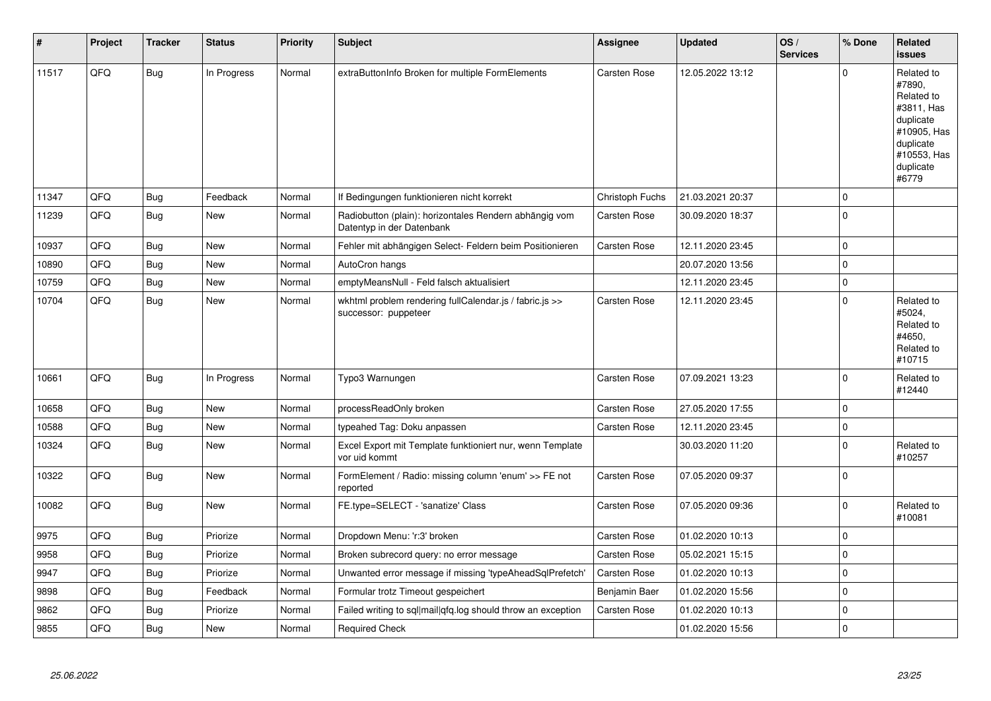| #     | Project | <b>Tracker</b> | <b>Status</b> | <b>Priority</b> | <b>Subject</b>                                                                      | <b>Assignee</b>     | <b>Updated</b>   | OS/<br><b>Services</b> | % Done      | Related<br><b>issues</b>                                                                                                       |
|-------|---------|----------------|---------------|-----------------|-------------------------------------------------------------------------------------|---------------------|------------------|------------------------|-------------|--------------------------------------------------------------------------------------------------------------------------------|
| 11517 | QFQ     | Bug            | In Progress   | Normal          | extraButtonInfo Broken for multiple FormElements                                    | <b>Carsten Rose</b> | 12.05.2022 13:12 |                        | $\Omega$    | Related to<br>#7890,<br>Related to<br>#3811, Has<br>duplicate<br>#10905, Has<br>duplicate<br>#10553, Has<br>duplicate<br>#6779 |
| 11347 | QFQ     | <b>Bug</b>     | Feedback      | Normal          | If Bedingungen funktionieren nicht korrekt                                          | Christoph Fuchs     | 21.03.2021 20:37 |                        | $\Omega$    |                                                                                                                                |
| 11239 | QFQ     | <b>Bug</b>     | <b>New</b>    | Normal          | Radiobutton (plain): horizontales Rendern abhängig vom<br>Datentyp in der Datenbank | <b>Carsten Rose</b> | 30.09.2020 18:37 |                        | $\Omega$    |                                                                                                                                |
| 10937 | QFQ     | Bug            | <b>New</b>    | Normal          | Fehler mit abhängigen Select- Feldern beim Positionieren                            | <b>Carsten Rose</b> | 12.11.2020 23:45 |                        | $\mathbf 0$ |                                                                                                                                |
| 10890 | QFQ     | Bug            | <b>New</b>    | Normal          | AutoCron hangs                                                                      |                     | 20.07.2020 13:56 |                        | 0           |                                                                                                                                |
| 10759 | QFQ     | <b>Bug</b>     | <b>New</b>    | Normal          | emptyMeansNull - Feld falsch aktualisiert                                           |                     | 12.11.2020 23:45 |                        | $\Omega$    |                                                                                                                                |
| 10704 | QFQ     | Bug            | <b>New</b>    | Normal          | wkhtml problem rendering fullCalendar.js / fabric.js >><br>successor: puppeteer     | Carsten Rose        | 12.11.2020 23:45 |                        | $\Omega$    | Related to<br>#5024,<br>Related to<br>#4650.<br>Related to<br>#10715                                                           |
| 10661 | QFQ     | Bug            | In Progress   | Normal          | Typo3 Warnungen                                                                     | <b>Carsten Rose</b> | 07.09.2021 13:23 |                        | $\Omega$    | Related to<br>#12440                                                                                                           |
| 10658 | QFQ     | <b>Bug</b>     | <b>New</b>    | Normal          | processReadOnly broken                                                              | Carsten Rose        | 27.05.2020 17:55 |                        | 0           |                                                                                                                                |
| 10588 | QFQ     | <b>Bug</b>     | New           | Normal          | typeahed Tag: Doku anpassen                                                         | Carsten Rose        | 12.11.2020 23:45 |                        | $\mathbf 0$ |                                                                                                                                |
| 10324 | QFQ     | Bug            | <b>New</b>    | Normal          | Excel Export mit Template funktioniert nur, wenn Template<br>vor uid kommt          |                     | 30.03.2020 11:20 |                        | $\Omega$    | Related to<br>#10257                                                                                                           |
| 10322 | QFQ     | <b>Bug</b>     | <b>New</b>    | Normal          | FormElement / Radio: missing column 'enum' >> FE not<br>reported                    | <b>Carsten Rose</b> | 07.05.2020 09:37 |                        | $\mathbf 0$ |                                                                                                                                |
| 10082 | QFQ     | Bug            | New           | Normal          | FE.type=SELECT - 'sanatize' Class                                                   | Carsten Rose        | 07.05.2020 09:36 |                        | $\Omega$    | Related to<br>#10081                                                                                                           |
| 9975  | QFQ     | <b>Bug</b>     | Priorize      | Normal          | Dropdown Menu: 'r:3' broken                                                         | <b>Carsten Rose</b> | 01.02.2020 10:13 |                        | 0           |                                                                                                                                |
| 9958  | QFQ     | <b>Bug</b>     | Priorize      | Normal          | Broken subrecord query: no error message                                            | <b>Carsten Rose</b> | 05.02.2021 15:15 |                        | $\mathbf 0$ |                                                                                                                                |
| 9947  | QFQ     | <b>Bug</b>     | Priorize      | Normal          | Unwanted error message if missing 'typeAheadSqlPrefetch'                            | <b>Carsten Rose</b> | 01.02.2020 10:13 |                        | 0           |                                                                                                                                |
| 9898  | QFQ     | <b>Bug</b>     | Feedback      | Normal          | Formular trotz Timeout gespeichert                                                  | Benjamin Baer       | 01.02.2020 15:56 |                        | $\Omega$    |                                                                                                                                |
| 9862  | QFQ     | Bug            | Priorize      | Normal          | Failed writing to sql mail qfq.log should throw an exception                        | <b>Carsten Rose</b> | 01.02.2020 10:13 |                        | $\Omega$    |                                                                                                                                |
| 9855  | QFQ     | <b>Bug</b>     | <b>New</b>    | Normal          | <b>Required Check</b>                                                               |                     | 01.02.2020 15:56 |                        | 0           |                                                                                                                                |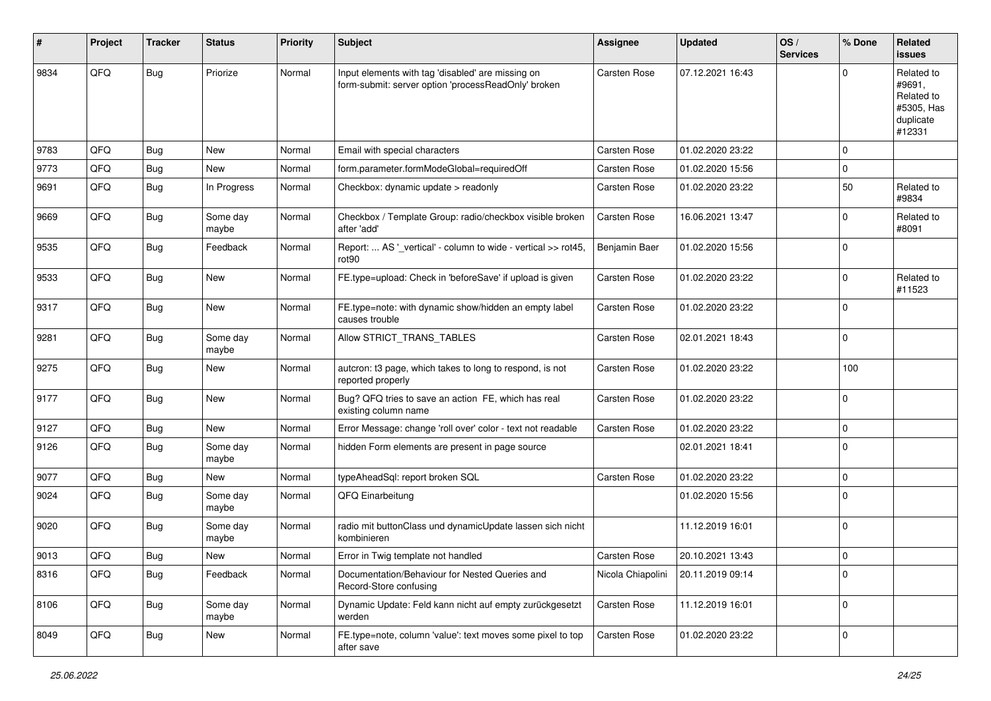| #    | Project | <b>Tracker</b> | <b>Status</b>     | <b>Priority</b> | Subject                                                                                                  | Assignee          | <b>Updated</b>   | OS/<br><b>Services</b> | % Done      | Related<br>issues                                                       |
|------|---------|----------------|-------------------|-----------------|----------------------------------------------------------------------------------------------------------|-------------------|------------------|------------------------|-------------|-------------------------------------------------------------------------|
| 9834 | QFQ     | Bug            | Priorize          | Normal          | Input elements with tag 'disabled' are missing on<br>form-submit: server option 'processReadOnly' broken | Carsten Rose      | 07.12.2021 16:43 |                        | $\Omega$    | Related to<br>#9691,<br>Related to<br>#5305, Has<br>duplicate<br>#12331 |
| 9783 | QFQ     | <b>Bug</b>     | <b>New</b>        | Normal          | Email with special characters                                                                            | Carsten Rose      | 01.02.2020 23:22 |                        | $\mathbf 0$ |                                                                         |
| 9773 | QFQ     | <b>Bug</b>     | New               | Normal          | form.parameter.formModeGlobal=requiredOff                                                                | Carsten Rose      | 01.02.2020 15:56 |                        | $\mathbf 0$ |                                                                         |
| 9691 | QFQ     | Bug            | In Progress       | Normal          | Checkbox: dynamic update > readonly                                                                      | Carsten Rose      | 01.02.2020 23:22 |                        | 50          | Related to<br>#9834                                                     |
| 9669 | QFQ     | Bug            | Some day<br>maybe | Normal          | Checkbox / Template Group: radio/checkbox visible broken<br>after 'add'                                  | Carsten Rose      | 16.06.2021 13:47 |                        | $\mathbf 0$ | Related to<br>#8091                                                     |
| 9535 | QFQ     | Bug            | Feedback          | Normal          | Report:  AS '_vertical' - column to wide - vertical >> rot45,<br>rot <sub>90</sub>                       | Benjamin Baer     | 01.02.2020 15:56 |                        | $\mathbf 0$ |                                                                         |
| 9533 | QFQ     | <b>Bug</b>     | New               | Normal          | FE.type=upload: Check in 'beforeSave' if upload is given                                                 | Carsten Rose      | 01.02.2020 23:22 |                        | $\mathbf 0$ | Related to<br>#11523                                                    |
| 9317 | QFQ     | Bug            | <b>New</b>        | Normal          | FE.type=note: with dynamic show/hidden an empty label<br>causes trouble                                  | Carsten Rose      | 01.02.2020 23:22 |                        | $\mathbf 0$ |                                                                         |
| 9281 | QFQ     | <b>Bug</b>     | Some day<br>maybe | Normal          | Allow STRICT_TRANS_TABLES                                                                                | Carsten Rose      | 02.01.2021 18:43 |                        | $\mathbf 0$ |                                                                         |
| 9275 | QFQ     | Bug            | New               | Normal          | autcron: t3 page, which takes to long to respond, is not<br>reported properly                            | Carsten Rose      | 01.02.2020 23:22 |                        | 100         |                                                                         |
| 9177 | QFQ     | Bug            | <b>New</b>        | Normal          | Bug? QFQ tries to save an action FE, which has real<br>existing column name                              | Carsten Rose      | 01.02.2020 23:22 |                        | $\pmb{0}$   |                                                                         |
| 9127 | QFQ     | Bug            | <b>New</b>        | Normal          | Error Message: change 'roll over' color - text not readable                                              | Carsten Rose      | 01.02.2020 23:22 |                        | 0           |                                                                         |
| 9126 | QFQ     | <b>Bug</b>     | Some day<br>maybe | Normal          | hidden Form elements are present in page source                                                          |                   | 02.01.2021 18:41 |                        | $\mathbf 0$ |                                                                         |
| 9077 | QFQ     | <b>Bug</b>     | New               | Normal          | typeAheadSql: report broken SQL                                                                          | Carsten Rose      | 01.02.2020 23:22 |                        | $\pmb{0}$   |                                                                         |
| 9024 | QFQ     | Bug            | Some day<br>maybe | Normal          | QFQ Einarbeitung                                                                                         |                   | 01.02.2020 15:56 |                        | $\mathbf 0$ |                                                                         |
| 9020 | QFQ     | Bug            | Some day<br>maybe | Normal          | radio mit buttonClass und dynamicUpdate lassen sich nicht<br>kombinieren                                 |                   | 11.12.2019 16:01 |                        | $\mathbf 0$ |                                                                         |
| 9013 | QFQ     | <b>Bug</b>     | New               | Normal          | Error in Twig template not handled                                                                       | Carsten Rose      | 20.10.2021 13:43 |                        | $\mathbf 0$ |                                                                         |
| 8316 | QFQ     | Bug            | Feedback          | Normal          | Documentation/Behaviour for Nested Queries and<br>Record-Store confusing                                 | Nicola Chiapolini | 20.11.2019 09:14 |                        | $\pmb{0}$   |                                                                         |
| 8106 | QFQ     | Bug            | Some day<br>maybe | Normal          | Dynamic Update: Feld kann nicht auf empty zurückgesetzt<br>werden                                        | Carsten Rose      | 11.12.2019 16:01 |                        | $\mathbf 0$ |                                                                         |
| 8049 | QFQ     | Bug            | New               | Normal          | FE.type=note, column 'value': text moves some pixel to top<br>after save                                 | Carsten Rose      | 01.02.2020 23:22 |                        | 0           |                                                                         |